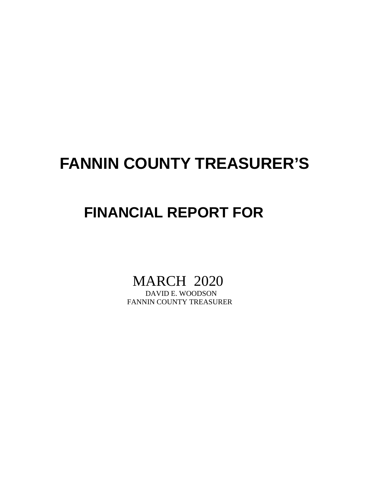# **FANNIN COUNTY TREASURER'S**

## **FINANCIAL REPORT FOR**

# MARCH 2020

FANNIN COUNTY TREASURER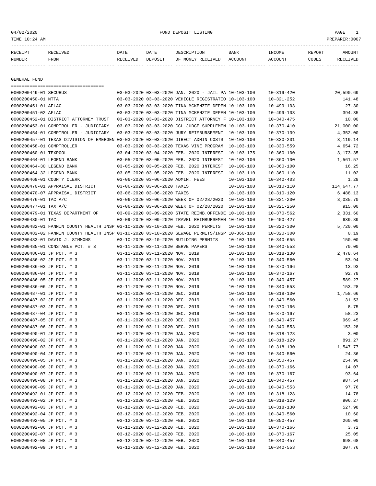04/02/2020 FUND DEPOSIT LISTING PAGE 1

| RECEIPT | RECEIVED    | DATE     | DATE    | DESCRIPTION               | BANK | INCOME  | REPORT | <b>AMOUNT</b> |
|---------|-------------|----------|---------|---------------------------|------|---------|--------|---------------|
| NUMBER  | <b>FROM</b> | RECEIVED | DEPOSIT | OF MONEY RECEIVED ACCOUNT |      | ACCOUNT | CODES  | RECEIVED      |
|         |             |          |         |                           |      |         |        |               |

GENERAL FUND

| =====================================                                                        |                                 |                                                      |                  |                  |                 |
|----------------------------------------------------------------------------------------------|---------------------------------|------------------------------------------------------|------------------|------------------|-----------------|
| 0000200449-01 SECURUS                                                                        |                                 | 03-03-2020 03-03-2020 JAN. 2020 - JAIL PA 10-103-100 |                  | $10 - 319 - 420$ | 20,590.69       |
| 0000200450-01 NTTA                                                                           |                                 | 03-03-2020 03-03-2020 VEHICLE REGISTRATIO 10-103-100 |                  | $10 - 321 - 252$ | 141.48          |
| 0000200451-01 AFLAC                                                                          |                                 | 03-03-2020 03-03-2020 TINA MCKENZIE DEPEN 10-103-100 |                  | $10 - 499 - 103$ | 27.30           |
| 0000200451-02 AFLAC                                                                          |                                 | 03-03-2020 03-03-2020 TINA MCKENZIE DEPEN 10-103-100 |                  | $10 - 499 - 103$ | 394.35          |
| 0000200452-01 DISTRICT ATTORNEY TRUST                                                        |                                 | 03-03-2020 03-03-2020 DISTRICT ATTORNEY F 10-103-100 |                  | $10 - 340 - 475$ | 10.00           |
| 0000200453-01 COMPTROLLER - JUDICIARY                                                        |                                 | 03-03-2020 03-03-2020 CCL JUDGE SUPPLEMEN 10-103-100 |                  | $10 - 370 - 410$ | 21,000.00       |
| 0000200454-01 COMPTROLLER - JUDICIARY                                                        |                                 | 03-03-2020 03-03-2020 JURY REIMBURSEMENT 10-103-100  |                  | $10 - 370 - 139$ | 4,352.00        |
| 0000200457-01 TEXAS DIVISION OF EMERGEN 03-03-2020 03-03-2020 DIRECT ADMIN COSTS 10-103-100  |                                 |                                                      |                  | $10 - 330 - 201$ | 3,119.14        |
| 0000200458-01 COMPTROLLER                                                                    |                                 | 03-03-2020 03-03-2020 TEXAS VINE PROGRAM 10-103-100  |                  | $10 - 330 - 559$ | 4,654.72        |
| 0000200460-01 TEXPOOL                                                                        |                                 | 03-04-2020 03-04-2020 FEB. 2020 INTEREST             | 10-103-175       | $10 - 360 - 100$ | 3,173.35        |
| 0000200464-01 LEGEND BANK                                                                    |                                 | 03-05-2020 03-05-2020 FEB. 2020 INTEREST             | 10-103-100       | $10 - 360 - 100$ | 1,561.57        |
| 0000200464-30 LEGEND BANK                                                                    |                                 | 03-05-2020 03-05-2020 FEB. 2020 INTEREST             | $10 - 100 - 100$ | $10 - 360 - 100$ | 16.25           |
| 0000200464-32 LEGEND BANK                                                                    |                                 | 03-05-2020 03-05-2020 FEB. 2020 INTEREST             | 10-103-110       | $10 - 360 - 110$ | 11.02           |
| 0000200469-01 COUNTY CLERK                                                                   |                                 | 03-06-2020 03-06-2020 ADMIN. FEES                    | $10 - 103 - 100$ | $10 - 340 - 403$ | 1.28            |
| 0000200470-01 APPRAISAL DISTRICT                                                             | 03-06-2020 03-06-2020 TAXES     |                                                      | $10 - 103 - 100$ | $10 - 310 - 110$ | 114,647.77      |
| 0000200470-07 APPRAISAL DISTRICT                                                             | 03-06-2020 03-06-2020 TAXES     |                                                      | $10 - 103 - 100$ | $10 - 310 - 120$ | 6,488.13        |
| 0000200476-01 TAC A/C                                                                        |                                 | 03-06-2020 03-06-2020 WEEK OF 02/28/2020 10-103-100  |                  | $10 - 321 - 200$ | 3,035.70        |
| 0000200477-01 TAX A/C                                                                        |                                 | 03-06-2020 03-06-2020 WEEK OF 02/28/2020             | 10-103-100       | $10 - 321 - 250$ | 915.00          |
| 0000200479-01 TEXAS DEPARTMENT OF                                                            |                                 | 03-09-2020 03-09-2020 STATE REIMB.OFFENDE 10-103-100 |                  | $10 - 370 - 562$ | 2,331.60        |
| 0000200480-01 TAC                                                                            |                                 | 03-09-2020 03-09-2020 TRAVEL REIMBURSEMEN 10-103-100 |                  | $10 - 400 - 427$ | 639.89          |
| 0000200482-01 FANNIN COUNTY HEALTH INSP 03-10-2020 03-10-2020 FEB. 2020 PERMITS              |                                 |                                                      | $10 - 103 - 100$ | $10 - 320 - 300$ | 5,720.00        |
| 0000200482-02 FANNIN COUNTY HEALTH INSP 03-10-2020 03-10-2020 SEWAGE PERMITS/INSP 10-360-100 |                                 |                                                      |                  | $10 - 320 - 300$ | 0.19            |
| 0000200483-01 DAVID J. SIMMONS                                                               |                                 | 03-10-2020 03-10-2020 BUILDING PERMITS               | $10 - 103 - 100$ | $10 - 340 - 655$ | 150.00          |
| 0000200485-01 CONSTABLE PCT. # 3                                                             |                                 | 03-11-2020 03-11-2020 SERVE PAPERS                   | $10 - 103 - 100$ | $10 - 340 - 553$ | 70.00           |
| 0000200486-01 JP PCT. # 3                                                                    | 03-11-2020 03-11-2020 NOV. 2019 |                                                      | $10 - 103 - 100$ | $10 - 318 - 130$ | 2,478.64        |
| 0000200486-02 JP PCT. # 3                                                                    | 03-11-2020 03-11-2020 NOV. 2019 |                                                      | $10 - 103 - 100$ | $10 - 340 - 560$ | 53.94           |
| 0000200486-03 JP PCT. # 3                                                                    | 03-11-2020 03-11-2020 NOV. 2019 |                                                      | $10 - 103 - 100$ | $10 - 370 - 166$ | 13.93           |
| 0000200486-04 JP PCT. # 3                                                                    | 03-11-2020 03-11-2020 NOV. 2019 |                                                      | $10 - 103 - 100$ | $10 - 370 - 167$ | 92.78           |
| 0000200486-05 JP PCT. # 3                                                                    | 03-11-2020 03-11-2020 NOV. 2019 |                                                      | $10 - 103 - 100$ | $10 - 340 - 457$ | 589.27          |
| 0000200486-06 JP PCT. # 3                                                                    | 03-11-2020 03-11-2020 NOV. 2019 |                                                      | $10 - 103 - 100$ | $10 - 340 - 553$ | 153.28          |
| 0000200487-01 JP PCT. # 3                                                                    | 03-11-2020 03-11-2020 DEC. 2019 |                                                      | $10 - 103 - 100$ | $10 - 318 - 130$ | 1,758.66        |
| 0000200487-02 JP PCT. # 3                                                                    | 03-11-2020 03-11-2020 DEC. 2019 |                                                      | $10 - 103 - 100$ | $10 - 340 - 560$ | 31.53           |
| 0000200487-03 JP PCT. # 3                                                                    | 03-11-2020 03-11-2020 DEC. 2019 |                                                      | $10 - 103 - 100$ | $10 - 370 - 166$ | 8.75            |
| 0000200487-04 JP PCT. # 3                                                                    | 03-11-2020 03-11-2020 DEC. 2019 |                                                      | $10 - 103 - 100$ | $10 - 370 - 167$ | 58.23           |
| 0000200487-05 JP PCT. # 3                                                                    | 03-11-2020 03-11-2020 DEC. 2019 |                                                      | $10 - 103 - 100$ | $10 - 340 - 457$ | 969.45          |
| 0000200487-06 JP PCT. # 3                                                                    | 03-11-2020 03-11-2020 DEC. 2019 |                                                      | $10 - 103 - 100$ | $10 - 340 - 553$ | 153.28          |
| 0000200490-01 JP PCT. # 3                                                                    | 03-11-2020 03-11-2020 JAN. 2020 |                                                      | $10 - 103 - 100$ | $10 - 318 - 128$ | 3.00            |
| 0000200490-02 JP PCT. # 3                                                                    | 03-11-2020 03-11-2020 JAN. 2020 |                                                      | $10 - 103 - 100$ | $10 - 318 - 129$ | 891.27          |
| 0000200490-03 JP PCT. # 3                                                                    | 03-11-2020 03-11-2020 JAN. 2020 |                                                      | $10 - 103 - 100$ | $10 - 318 - 130$ | 1,547.77        |
| 0000200490-04 JP PCT. # 3                                                                    | 03-11-2020 03-11-2020 JAN. 2020 |                                                      | $10 - 103 - 100$ | $10 - 340 - 560$ | 24.36           |
| 0000200490-05 JP PCT. # 3                                                                    | 03-11-2020 03-11-2020 JAN. 2020 |                                                      | $10 - 103 - 100$ | $10 - 350 - 457$ | 254.90          |
| 0000200490-06 JP PCT. # 3                                                                    | 03-11-2020 03-11-2020 JAN. 2020 |                                                      | $10 - 103 - 100$ | $10 - 370 - 166$ | 14.07           |
|                                                                                              | 03-11-2020 03-11-2020 JAN. 2020 |                                                      |                  |                  | 93.64           |
| 0000200490-07 JP PCT. # 3<br>0000200490-08 JP PCT. # 3                                       | 03-11-2020 03-11-2020 JAN. 2020 |                                                      | $10 - 103 - 100$ | $10 - 370 - 167$ |                 |
| 0000200490-09 JP PCT. # 3                                                                    | 03-11-2020 03-11-2020 JAN. 2020 |                                                      | $10 - 103 - 100$ | $10 - 340 - 457$ | 987.54<br>97.76 |
| 0000200492-01 JP PCT. # 3                                                                    |                                 |                                                      | $10 - 103 - 100$ | $10 - 340 - 553$ |                 |
|                                                                                              | 03-12-2020 03-12-2020 FEB. 2020 |                                                      | $10 - 103 - 100$ | $10 - 318 - 128$ | 14.78<br>906.27 |
| 0000200492-02 JP PCT. # 3                                                                    | 03-12-2020 03-12-2020 FEB. 2020 |                                                      | $10 - 103 - 100$ | $10 - 318 - 129$ |                 |
| 0000200492-03 JP PCT. # 3                                                                    | 03-12-2020 03-12-2020 FEB. 2020 |                                                      | $10 - 103 - 100$ | $10 - 318 - 130$ | 527.98          |
| 0000200492-04 JP PCT. # 3                                                                    | 03-12-2020 03-12-2020 FEB. 2020 |                                                      | $10 - 103 - 100$ | $10 - 340 - 560$ | 10.60           |
| 0000200492-05 JP PCT. # 3                                                                    | 03-12-2020 03-12-2020 FEB. 2020 |                                                      | $10 - 103 - 100$ | $10 - 350 - 457$ | 260.00          |
| 0000200492-06 JP PCT. # 3                                                                    | 03-12-2020 03-12-2020 FEB. 2020 |                                                      | $10 - 103 - 100$ | $10 - 370 - 166$ | 3.72            |
| 0000200492-07 JP PCT. # 3                                                                    | 03-12-2020 03-12-2020 FEB. 2020 |                                                      | $10 - 103 - 100$ | $10 - 370 - 167$ | 25.05           |
| 0000200492-08 JP PCT. # 3                                                                    | 03-12-2020 03-12-2020 FEB. 2020 |                                                      | $10 - 103 - 100$ | $10 - 340 - 457$ | 698.68          |
| 0000200492-09 JP PCT. # 3                                                                    | 03-12-2020 03-12-2020 FEB. 2020 |                                                      | $10 - 103 - 100$ | $10 - 340 - 553$ | 307.76          |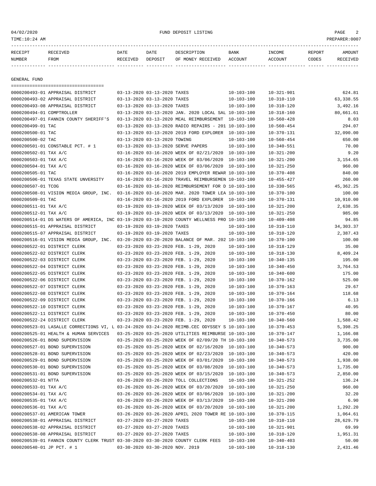04/02/2020 FUND DEPOSIT LISTING PAGE 2

| RECEIPT       | <b>RECEIVED</b> | DATE     | DATE    | DESCRIPTION       | <b>BANK</b> | <b>TNCOME</b> | REPORT | AMOUNT          |
|---------------|-----------------|----------|---------|-------------------|-------------|---------------|--------|-----------------|
| <b>NUMBER</b> | <b>FROM</b>     | RECEIVED | DEPOSIT | OF MONEY RECEIVED | ACCOUNT     | ACCOUNT       | CODES  | <b>RECEIVED</b> |
|               |                 |          |         |                   |             |               |        |                 |

GENERAL FUND

|                           | =====================================                                                        |                                 |                                                      |                  |                  |             |
|---------------------------|----------------------------------------------------------------------------------------------|---------------------------------|------------------------------------------------------|------------------|------------------|-------------|
|                           | 0000200493-01 APPRAISAL DISTRICT                                                             | 03-13-2020 03-13-2020 TAXES     |                                                      | $10 - 103 - 100$ | $10 - 321 - 901$ | 624.81      |
|                           | 0000200493-02 APPRAISAL DISTRICT                                                             | 03-13-2020 03-13-2020 TAXES     |                                                      | $10 - 103 - 100$ | $10 - 310 - 110$ | 63, 338.55  |
|                           | 0000200493-08 APPRAISAL DISTRICT                                                             | 03-13-2020 03-13-2020 TAXES     |                                                      | $10 - 103 - 100$ | $10 - 310 - 120$ | 3,492.16    |
| 0000200494-01 COMPTROLLER |                                                                                              |                                 | 03-13-2020 03-13-2020 JAN. 2020 LOCAL SAL 10-103-100 |                  | $10 - 318 - 160$ | 80,661.61   |
|                           | 0000200497-01 FANNIN COUNTY SHERIFF'S                                                        |                                 | 03-13-2020 03-13-2020 MEAL REIMBURSEMENT             | 10-103-100       | $10 - 560 - 428$ | 8.03        |
| 0000200499-01 TAC         |                                                                                              |                                 | 03-13-2020 03-13-2020 RADIO REPAIRS - 201 10-103-100 |                  | $10 - 560 - 454$ | 294.07      |
| 0000200500-01 TAC         |                                                                                              |                                 | 03-13-2020 03-13-2020 2019 FORD EXPLORER 10-103-100  |                  | $10 - 370 - 131$ | 32,090.00   |
| 0000200500-02 TAC         |                                                                                              | 03-13-2020 03-13-2020 TOWING    |                                                      | $10 - 103 - 100$ | $10 - 560 - 454$ | 650.00      |
|                           | 0000200501-01 CONSTABLE PCT. # 1                                                             |                                 | 03-13-2020 03-13-2020 SERVE PAPERS                   | $10 - 103 - 100$ | $10 - 340 - 551$ | 70.00       |
| 0000200502-01 TAX A/C     |                                                                                              |                                 | 03-16-2020 03-16-2020 WEEK OF 02/21/2020 10-103-100  |                  | $10 - 321 - 200$ | 9.20        |
| 0000200503-01 TAX A/C     |                                                                                              |                                 | 03-16-2020 03-16-2020 WEEK OF 03/06/2020 10-103-100  |                  | $10 - 321 - 200$ | 3,154.65    |
| 0000200504-01 TAX A/C     |                                                                                              |                                 | 03-16-2020 03-16-2020 WEEK OF 03/06/2020 10-103-100  |                  | $10 - 321 - 250$ | 960.00      |
| 0000200505-01 TAC         |                                                                                              |                                 | 03-16-2020 03-16-2020 2019 EMPLOYER REWAR 10-103-100 |                  | $10 - 370 - 408$ | 840.00      |
|                           | 0000200506-01 TEXAS STATE UNVERSITY                                                          |                                 | 03-16-2020 03-16-2020 TRAVEL REIMBURSEMEN 10-103-100 |                  | $10 - 455 - 427$ | 260.00      |
| 0000200507-01 TCOG        |                                                                                              |                                 | 03-16-2020 03-16-2020 REIMBURSEMENT FOR D 10-103-100 |                  | $10 - 330 - 565$ | 45, 362. 25 |
|                           | 0000200508-01 VISION MEDIA GROUP, INC. 03-16-2020 03-16-2020 MAR. 2020 TOWER LEA 10-103-100  |                                 |                                                      |                  | $10 - 370 - 100$ | 100.00      |
| 0000200509-01 TAC         |                                                                                              |                                 | 03-16-2020 03-16-2020 2019 FORD EXPLORER 10-103-100  |                  | $10 - 370 - 131$ | 10,910.00   |
| 0000200511-01 TAX A/C     |                                                                                              |                                 | 03-19-2020 03-19-2020 WEEK OF 03/13/2020 10-103-100  |                  | $10 - 321 - 200$ | 2,638.35    |
| 0000200512-01 TAX A/C     |                                                                                              |                                 | 03-19-2020 03-19-2020 WEEK OF 03/13/2020 10-103-100  |                  | $10 - 321 - 250$ | 985.00      |
|                           | 0000200514-01 DS WATERS OF AMERICA, INC 03-19-2020 03-19-2020 COUNTY WELLNESS PRO 10-103-100 |                                 |                                                      |                  | $10 - 409 - 408$ | 94.85       |
|                           | 0000200515-01 APPRAISAL DISTRICT                                                             | 03-19-2020 03-19-2020 TAXES     |                                                      | $10 - 103 - 100$ | $10 - 310 - 110$ | 34, 303. 37 |
|                           | 0000200515-07 APPRAISAL DISTRICT                                                             | 03-19-2020 03-19-2020 TAXES     |                                                      | $10 - 103 - 100$ | $10 - 310 - 120$ | 2,387.43    |
|                           | 0000200516-01 VISION MEDIA GROUP, INC. 03-20-2020 03-20-2020 BALANCE OF MAR. 202 10-103-100  |                                 |                                                      |                  | $10 - 370 - 100$ | 100.00      |
|                           | 0000200522-01 DISTRICT CLERK                                                                 |                                 | 03-23-2020 03-23-2020 FEB. 1-29, 2020                | $10 - 103 - 100$ | $10 - 318 - 129$ | 35.00       |
|                           | 0000200522-02 DISTRICT CLERK                                                                 |                                 | 03-23-2020 03-23-2020 FEB. 1-29, 2020                | $10 - 103 - 100$ | $10 - 318 - 130$ | 8,409.24    |
|                           | 0000200522-03 DISTRICT CLERK                                                                 |                                 | 03-23-2020 03-23-2020 FEB. 1-29, 2020                | $10 - 103 - 100$ | $10 - 340 - 135$ | 195.00      |
|                           | 0000200522-04 DISTRICT CLERK                                                                 |                                 | 03-23-2020 03-23-2020 FEB. 1-29, 2020                | $10 - 103 - 100$ | $10 - 340 - 450$ | 3,764.53    |
|                           | 0000200522-05 DISTRICT CLERK                                                                 |                                 | 03-23-2020 03-23-2020 FEB. 1-29, 2020                | $10 - 103 - 100$ | $10 - 340 - 600$ | 175.00      |
|                           | 0000200522-06 DISTRICT CLERK                                                                 |                                 | 03-23-2020 03-23-2020 FEB. 1-29, 2020                | $10 - 103 - 100$ | $10 - 370 - 162$ | 525.00      |
|                           | 0000200522-07 DISTRICT CLERK                                                                 |                                 | 03-23-2020 03-23-2020 FEB. 1-29, 2020                | $10 - 103 - 100$ | $10 - 370 - 163$ | 29.67       |
|                           | 0000200522-08 DISTRICT CLERK                                                                 |                                 | 03-23-2020 03-23-2020 FEB. 1-29, 2020                | $10 - 103 - 100$ | $10 - 370 - 164$ | 118.68      |
|                           | 0000200522-09 DISTRICT CLERK                                                                 |                                 | 03-23-2020 03-23-2020 FEB. 1-29, 2020                | $10 - 103 - 100$ | $10 - 370 - 166$ | 6.13        |
|                           | 0000200522-10 DISTRICT CLERK                                                                 |                                 | 03-23-2020 03-23-2020 FEB. 1-29, 2020                | $10 - 103 - 100$ | $10 - 370 - 167$ | 40.95       |
|                           | 0000200522-11 DISTRICT CLERK                                                                 |                                 | 03-23-2020 03-23-2020 FEB. 1-29, 2020                | $10 - 103 - 100$ | $10 - 370 - 450$ | 80.00       |
|                           | 0000200522-24 DISTRICT CLERK                                                                 |                                 | 03-23-2020 03-23-2020 FEB. 1-29, 2020                | $10 - 103 - 100$ | $10 - 340 - 560$ | 1,588.42    |
|                           | 0000200523-01 LASALLE CORRECTIONS VI, L 03-24-2020 03-24-2020 REIMB.CEC ODYSSEY S 10-103-100 |                                 |                                                      |                  | $10 - 370 - 453$ | 5,398.25    |
|                           | 0000200525-01 HEALTH & HUMAN SERVICES                                                        |                                 | 03-25-2020 03-25-2020 UTILITIES REIMBURSE 10-103-100 |                  | $10 - 370 - 147$ | 1,166.08    |
|                           | 0000200526-01 BOND SUPERVISION                                                               |                                 | 03-25-2020 03-25-2020 WEEK OF 02/09/20 TH 10-103-100 |                  | $10 - 340 - 573$ | 3,735.00    |
|                           | 0000200527-01 BOND SUPERVISION                                                               |                                 | 03-25-2020 03-25-2020 WEEK OF 02/16/2020 10-103-100  |                  | $10 - 340 - 573$ | 900.00      |
|                           | 0000200528-01 BOND SUPERVISION                                                               |                                 | 03-25-2020 03-25-2020 WEEK OF 02/23/2020 10-103-100  |                  | $10 - 340 - 573$ | 420.00      |
|                           | 0000200529-01 BOND SUPERVISION                                                               |                                 | 03-25-2020 03-25-2020 WEEK OF 03/01/2020 10-103-100  |                  | $10 - 340 - 573$ | 1,938.00    |
|                           | 0000200530-01 BOND SUPERVISION                                                               |                                 | 03-25-2020 03-25-2020 WEEK OF 03/08/2020 10-103-100  |                  | $10 - 340 - 573$ | 1,735.00    |
|                           | 0000200531-01 BOND SUPERVISION                                                               |                                 | 03-25-2020 03-25-2020 WEEK OF 03/15/2020 10-103-100  |                  | $10 - 340 - 573$ | 2,850.00    |
| 0000200532-01 NTTA        |                                                                                              |                                 | 03-26-2020 03-26-2020 TOLL COLLECTIONS               | $10 - 103 - 100$ | $10 - 321 - 252$ | 136.24      |
| 0000200533-01 TAX A/C     |                                                                                              |                                 | 03-26-2020 03-26-2020 WEEK OF 03/20/2020 10-103-100  |                  | $10 - 321 - 250$ | 960.00      |
| 0000200534-01 TAX A/C     |                                                                                              |                                 | 03-26-2020 03-26-2020 WEEK OF 03/06/2020 10-103-100  |                  | $10 - 321 - 200$ | 32.20       |
| 0000200535-01 TAX A/C     |                                                                                              |                                 | 03-26-2020 03-26-2020 WEEK OF 03/13/2020 10-103-100  |                  | $10 - 321 - 200$ | 6.90        |
| 0000200536-01 TAX A/C     |                                                                                              |                                 | 03-26-2020 03-26-2020 WEEK OF 03/20/2020 10-103-100  |                  | $10 - 321 - 200$ | 1,292.20    |
|                           | 0000200537-01 AMERICAN TOWER                                                                 |                                 | 03-26-2020 03-26-2020 APRIL 2020 TOWER RE 10-103-100 |                  | $10 - 370 - 115$ | 1,064.61    |
|                           | 0000200538-01 APPRAISAL DISTRICT                                                             | 03-27-2020 03-27-2020 TAXES     |                                                      | $10 - 103 - 100$ | $10 - 310 - 110$ | 28,629.79   |
|                           | 0000200538-02 APPRAISAL DISTRICT                                                             | 03-27-2020 03-27-2020 TAXES     |                                                      | $10 - 103 - 100$ | $10 - 321 - 901$ | 69.99       |
|                           | 0000200538-08 APPRAISAL DISTRICT                                                             | 03-27-2020 03-27-2020 TAXES     |                                                      | 10-103-100       | $10 - 310 - 120$ | 1,951.31    |
|                           | 0000200539-01 FANNIN COUNTY CLERK TRUST 03-30-2020 03-30-2020 COUNTY CLERK FEES              |                                 |                                                      | $10 - 103 - 100$ | $10 - 340 - 403$ | 50.00       |
| 0000200540-01 JP PCT. # 1 |                                                                                              | 03-30-2020 03-30-2020 NOV. 2019 |                                                      | $10 - 103 - 100$ | $10 - 318 - 130$ | 2,431.46    |
|                           |                                                                                              |                                 |                                                      |                  |                  |             |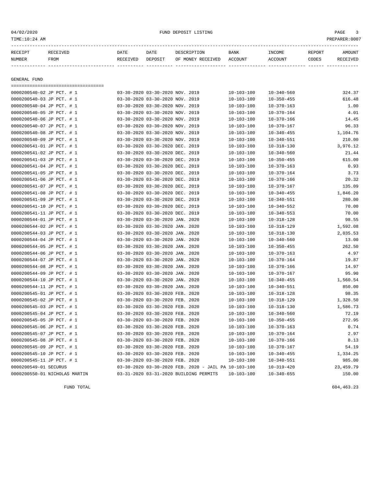| 04/02/2020<br>TIME:10:24 AM |                                       |          |                                 | FUND DEPOSIT LISTING |                  |                  |        | PAGE<br>3<br>PREPARER: 0007 |
|-----------------------------|---------------------------------------|----------|---------------------------------|----------------------|------------------|------------------|--------|-----------------------------|
| RECEIPT                     | RECEIVED                              | DATE     | DATE                            | DESCRIPTION          | <b>BANK</b>      | INCOME           | REPORT | AMOUNT                      |
| NUMBER                      | FROM                                  | RECEIVED | DEPOSIT                         | OF MONEY RECEIVED    | ACCOUNT          | <b>ACCOUNT</b>   | CODES  | RECEIVED                    |
| GENERAL FUND                |                                       |          |                                 |                      |                  |                  |        |                             |
| 0000200540-02 JP PCT. # 1   | ------------------------------------- |          | 03-30-2020 03-30-2020 NOV. 2019 |                      | $10 - 103 - 100$ | $10 - 340 - 560$ |        | 324.37                      |
| 0000200540-03 JP PCT. # 1   |                                       |          | 03-30-2020 03-30-2020 NOV. 2019 |                      | $10 - 103 - 100$ | $10 - 350 - 455$ |        | 616.48                      |
| 0000200540-04 JP PCT. # 1   |                                       |          | 03-30-2020 03-30-2020 NOV. 2019 |                      | $10 - 103 - 100$ | $10 - 370 - 163$ |        | 1.00                        |
| 0000200540-05 JP PCT. # 1   |                                       |          | 03-30-2020 03-30-2020 NOV. 2019 |                      | $10 - 103 - 100$ | $10 - 370 - 164$ |        | 4.01                        |
| 0000200540-06 JP PCT. # 1   |                                       |          | 03-30-2020 03-30-2020 NOV. 2019 |                      | $10 - 103 - 100$ | $10 - 370 - 166$ |        | 14.45                       |
| 0000200540-07 JP PCT. # 1   |                                       |          | 03-30-2020 03-30-2020 NOV. 2019 |                      | $10 - 103 - 100$ | $10 - 370 - 167$ |        | 96.33                       |
| 0000200540-08 JP PCT. # 1   |                                       |          | 03-30-2020 03-30-2020 NOV. 2019 |                      | $10 - 103 - 100$ | $10 - 340 - 455$ |        | 1,104.76                    |
| 0000200540-09 JP PCT. # 1   |                                       |          | 03-30-2020 03-30-2020 NOV. 2019 |                      | $10 - 103 - 100$ | $10 - 340 - 551$ |        | 210.00                      |
| 0000200541-01 JP PCT. # 1   |                                       |          | 03-30-2020 03-30-2020 DEC. 2019 |                      | $10 - 103 - 100$ | $10 - 318 - 130$ |        | 3,976.12                    |
| 0000200541-02 JP PCT. # 1   |                                       |          | 03-30-2020 03-30-2020 DEC. 2019 |                      | $10 - 103 - 100$ | $10 - 340 - 560$ |        | 21.44                       |
| 0000200541-03 JP PCT. # 1   |                                       |          | 03-30-2020 03-30-2020 DEC. 2019 |                      | $10 - 103 - 100$ | $10 - 350 - 455$ |        | 615.00                      |
| 0000200541-04 JP PCT. # 1   |                                       |          | 03-30-2020 03-30-2020 DEC. 2019 |                      | $10 - 103 - 100$ | $10 - 370 - 163$ |        | 0.93                        |
| 0000200541-05 JP PCT. # 1   |                                       |          | 03-30-2020 03-30-2020 DEC. 2019 |                      | $10 - 103 - 100$ | $10 - 370 - 164$ |        | 3.73                        |
| 0000200541-06 JP PCT. # 1   |                                       |          | 03-30-2020 03-30-2020 DEC. 2019 |                      | $10 - 103 - 100$ | $10 - 370 - 166$ |        | 20.32                       |
| 0000200541-07 JP PCT. # 1   |                                       |          | 03-30-2020 03-30-2020 DEC. 2019 |                      | $10 - 103 - 100$ | $10 - 370 - 167$ |        | 135.09                      |
| 0000200541-08 JP PCT. # 1   |                                       |          | 03-30-2020 03-30-2020 DEC. 2019 |                      | $10 - 103 - 100$ | $10 - 340 - 455$ |        | 1,846.20                    |
| 0000200541-09 JP PCT. # 1   |                                       |          | 03-30-2020 03-30-2020 DEC. 2019 |                      | $10 - 103 - 100$ | $10 - 340 - 551$ |        | 280.00                      |
| 0000200541-10 JP PCT. # 1   |                                       |          | 03-30-2020 03-30-2020 DEC. 2019 |                      | $10 - 103 - 100$ | $10 - 340 - 552$ |        | 70.00                       |
| 0000200541-11 JP PCT. # 1   |                                       |          | 03-30-2020 03-30-2020 DEC. 2019 |                      | $10 - 103 - 100$ | $10 - 340 - 553$ |        | 70.00                       |
| 0000200544-01 JP PCT. # 1   |                                       |          | 03-30-2020 03-30-2020 JAN. 2020 |                      | $10 - 103 - 100$ | $10 - 318 - 128$ |        | 98.55                       |
| 0000200544-02 JP PCT. # 1   |                                       |          | 03-30-2020 03-30-2020 JAN. 2020 |                      | $10 - 103 - 100$ | $10 - 318 - 129$ |        | 1,592.08                    |
| 0000200544-03 JP PCT. # 1   |                                       |          | 03-30-2020 03-30-2020 JAN. 2020 |                      | $10 - 103 - 100$ | $10 - 318 - 130$ |        | 2,035.53                    |
| 0000200544-04 JP PCT. # 1   |                                       |          | 03-30-2020 03-30-2020 JAN. 2020 |                      | $10 - 103 - 100$ | $10 - 340 - 560$ |        | 13.00                       |
| 0000200544-05 JP PCT. # 1   |                                       |          | 03-30-2020 03-30-2020 JAN. 2020 |                      | $10 - 103 - 100$ | $10 - 350 - 455$ |        | 262.50                      |
| 0000200544-06 JP PCT. # 1   |                                       |          | 03-30-2020 03-30-2020 JAN. 2020 |                      | $10 - 103 - 100$ | $10 - 370 - 163$ |        | 4.97                        |
| 0000200544-07 JP PCT. # 1   |                                       |          | 03-30-2020 03-30-2020 JAN. 2020 |                      | $10 - 103 - 100$ | $10 - 370 - 164$ |        | 19.87                       |
| 0000200544-08 JP PCT. # 1   |                                       |          | 03-30-2020 03-30-2020 JAN. 2020 |                      | $10 - 103 - 100$ | $10 - 370 - 166$ |        | 14.97                       |
| 0000200544-09 JP PCT. # 1   |                                       |          | 03-30-2020 03-30-2020 JAN. 2020 |                      | $10 - 103 - 100$ | $10 - 370 - 167$ |        | 95.90                       |
| 0000200544-10 JP PCT. # 1   |                                       |          | 03-30-2020 03-30-2020 JAN. 2020 |                      | 10-103-100       | $10 - 340 - 455$ |        | 1,560.54                    |
| 0000200544-11 JP PCT. # 1   |                                       |          | 03-30-2020 03-30-2020 JAN. 2020 |                      | $10 - 103 - 100$ | $10 - 340 - 551$ |        | 850.00                      |
| 0000200545-01 JP PCT. # 1   |                                       |          | 03-30-2020 03-30-2020 FEB. 2020 |                      | $10 - 103 - 100$ | $10 - 318 - 128$ |        | 98.35                       |
| 0000200545-02 JP PCT. # 1   |                                       |          | 03-30-2020 03-30-2020 FEB. 2020 |                      | $10 - 103 - 100$ | $10 - 318 - 129$ |        | 1,328.50                    |
| 0000200545-03 JP PCT. # 1   |                                       |          | 03-30-2020 03-30-2020 FEB. 2020 |                      | $10 - 103 - 100$ | $10 - 318 - 130$ |        | 1,586.73                    |
| 0000200545-04 JP PCT. # 1   |                                       |          | 03-30-2020 03-30-2020 FEB. 2020 |                      | $10 - 103 - 100$ | $10 - 340 - 560$ |        | 72.19                       |

0000200545-05 JP PCT. # 1 03-30-2020 03-30-2020 FEB. 2020 10-103-100 10-350-455 272.95 0000200545-06 JP PCT. # 1 03-30-2020 03-30-2020 FEB. 2020 10-103-100 10-370-163 0.74 0000200545-07 JP PCT. # 1 03-30-2020 03-30-2020 FEB. 2020 10-103-100 10-370-164 2.97 0000200545-08 JP PCT. # 1 03-30-2020 03-30-2020 FEB. 2020 10-103-100 10-370-166 8.13 0000200545-09 JP PCT. # 1 03-30-2020 03-30-2020 FEB. 2020 10-103-100 10-370-167 54.19<br>0000200545-10 JP PCT. # 1 03-30-2020 03-30-2020 FEB. 2020 10-103-100 10-340-455 1,334.25

0000200545-11 JP PCT. # 1 03-30-2020 03-30-2020 FEB. 2020 10-103-100 10-340-551 985.00 0000200549-01 SECURUS 03-30-2020 03-30-2020 FEB. 2020 - JAIL PA 10-103-100 10-319-420 23,459.79 0000200550-01 NICHOLAS MARTIN 03-31-2020 03-31-2020 BUILDING PERMITS 10-103-100 10-340-655 150.00

03-30-2020 03-30-2020 FEB. 2020 10-103-100 10-340-455 1,334.25

FUND TOTAL 604,463.23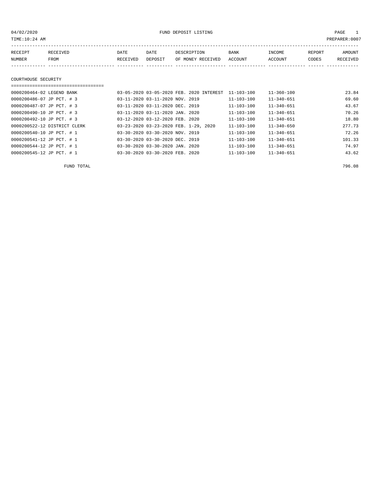| TIME:10:24 AM<br>PREPARER: 0007 |          |          |         |                   |             |         |        |          |  |  |
|---------------------------------|----------|----------|---------|-------------------|-------------|---------|--------|----------|--|--|
| RECEIPT                         | RECEIVED | DATE     | DATE    | DESCRIPTION       | <b>BANK</b> | INCOME  | REPORT | AMOUNT   |  |  |
| NUMBER                          | FROM     | RECEIVED | DEPOSIT | OF MONEY RECEIVED | ACCOUNT     | ACCOUNT | CODES  | RECEIVED |  |  |
|                                 |          |          |         |                   |             |         |        |          |  |  |
| COURTHOUSE SECURITY             |          |          |         |                   |             |         |        |          |  |  |
|                                 |          |          |         |                   |             |         |        |          |  |  |

| 0000200464-02 LEGEND BANK    | 03-05-2020 03-05-2020 FEB. 2020 INTEREST | $11 - 360 - 100$<br>$11 - 103 - 100$ | 23.84  |
|------------------------------|------------------------------------------|--------------------------------------|--------|
| 0000200486-07 JP PCT. # 3    | 03-11-2020 03-11-2020 NOV. 2019          | $11 - 340 - 651$<br>11-103-100       | 69.60  |
| 0000200487-07 JP PCT. # 3    | 03-11-2020 03-11-2020 DEC. 2019          | $11 - 340 - 651$<br>$11 - 103 - 100$ | 43.67  |
| 0000200490-10 JP PCT. # 3    | 03-11-2020 03-11-2020 JAN. 2020          | $11 - 340 - 651$<br>$11 - 103 - 100$ | 70.26  |
| 0000200492-10 JP PCT. # 3    | 03-12-2020 03-12-2020 FEB. 2020          | $11 - 340 - 651$<br>$11 - 103 - 100$ | 18.80  |
| 0000200522-12 DISTRICT CLERK | 03-23-2020 03-23-2020 FEB. 1-29, 2020    | $11 - 340 - 650$<br>$11 - 103 - 100$ | 277.73 |
| 0000200540-10 JP PCT. # 1    | 03-30-2020 03-30-2020 NOV. 2019          | $11 - 340 - 651$<br>$11 - 103 - 100$ | 72.26  |
| 0000200541-12 JP PCT. # 1    | 03-30-2020 03-30-2020 DEC. 2019          | $11 - 103 - 100$<br>$11 - 340 - 651$ | 101.33 |
| 0000200544-12 JP PCT. # 1    | 03-30-2020 03-30-2020 JAN. 2020          | $11 - 340 - 651$<br>$11 - 103 - 100$ | 74.97  |
| 0000200545-12 JP PCT. # 1    | 03-30-2020 03-30-2020 FEB. 2020          | $11 - 340 - 651$<br>$11 - 103 - 100$ | 43.62  |

FUND TOTAL 796.08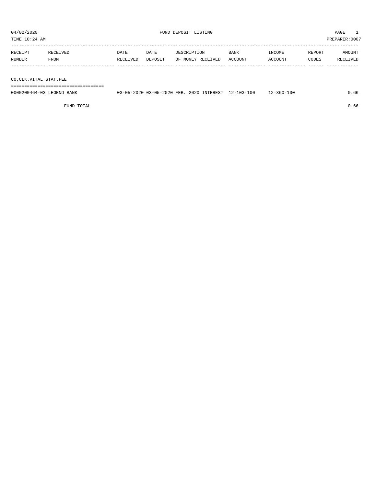TIME:10:24 AM PREPARER:0007

| RECEIPT | RECEIVED | DATE     | DATE    | DESCRIPTION       | <b>BANK</b> | INCOME  | REPORT | AMOUNT   |
|---------|----------|----------|---------|-------------------|-------------|---------|--------|----------|
| NUMBER  | FROM     | RECEIVED | DEPOSIT | OF MONEY RECEIVED | ACCOUNT     | ACCOUNT | CODES  | RECEIVED |
|         |          |          |         |                   |             |         |        |          |
|         |          |          |         |                   |             |         |        |          |

CO.CLK.VITAL STAT.FEE

===================================

| 0000200464-03 LEGEND BANK |  |  | 03-05-2020 03-05-2020 FEB. 2020 INTEREST 12-103-100 12-360-100 | 0.66 |
|---------------------------|--|--|----------------------------------------------------------------|------|
|                           |  |  |                                                                |      |

FUND TOTAL  $0.66$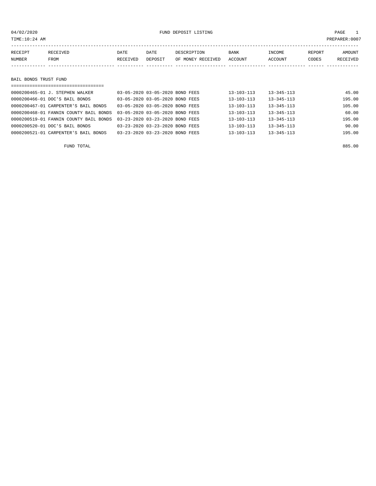|        | TIME:10:24 AM |          |          |         |                   |             |                |        | PREPARER:0007 |
|--------|---------------|----------|----------|---------|-------------------|-------------|----------------|--------|---------------|
|        | RECEIPT       | RECEIVED | DATE     | DATE    | DESCRIPTION       | <b>BANK</b> | INCOME         | REPORT | AMOUNT        |
| NUMBER |               | FROM     | RECEIVED | DEPOSIT | OF MONEY RECEIVED | ACCOUNT     | <b>ACCOUNT</b> | CODES  | RECEIVED      |
|        |               |          |          |         |                   |             |                |        |               |

### BAIL BONDS TRUST FUND

| ==================================     |                                 |                  |                  |        |  |  |  |  |  |  |
|----------------------------------------|---------------------------------|------------------|------------------|--------|--|--|--|--|--|--|
| 0000200465-01 J. STEPHEN WALKER        | 03-05-2020 03-05-2020 BOND FEES | $13 - 103 - 113$ | $13 - 345 - 113$ | 45.00  |  |  |  |  |  |  |
| 0000200466-01 DOC'S BAIL BONDS         | 03-05-2020 03-05-2020 BOND FEES | $13 - 103 - 113$ | $13 - 345 - 113$ | 195.00 |  |  |  |  |  |  |
| 0000200467-01 CARPENTER'S BAIL BONDS   | 03-05-2020 03-05-2020 BOND FEES | $13 - 103 - 113$ | $13 - 345 - 113$ | 105.00 |  |  |  |  |  |  |
| 0000200468-01 FANNIN COUNTY BAIL BONDS | 03-05-2020 03-05-2020 BOND FEES | $13 - 103 - 113$ | $13 - 345 - 113$ | 60.00  |  |  |  |  |  |  |
| 0000200519-01 FANNIN COUNTY BAIL BONDS | 03-23-2020 03-23-2020 BOND FEES | $13 - 103 - 113$ | $13 - 345 - 113$ | 195.00 |  |  |  |  |  |  |
| 0000200520-01 DOC'S BAIL BONDS         | 03-23-2020 03-23-2020 BOND FEES | $13 - 103 - 113$ | $13 - 345 - 113$ | 90.00  |  |  |  |  |  |  |
| 0000200521-01 CARPENTER'S BAIL BONDS   | 03-23-2020 03-23-2020 BOND FEES | $13 - 103 - 113$ | $13 - 345 - 113$ | 195.00 |  |  |  |  |  |  |
|                                        |                                 |                  |                  |        |  |  |  |  |  |  |

FUND TOTAL 885.00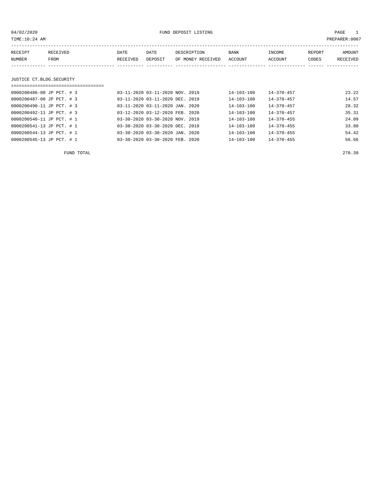04/02/2020 PAGE 1 PAGE 1

| TIME:10:24 AM             |                                  |          |                                 |                   |                  |                  |        | PREPARER:0007 |
|---------------------------|----------------------------------|----------|---------------------------------|-------------------|------------------|------------------|--------|---------------|
| RECEIPT                   | RECEIVED                         | DATE     | DATE                            | DESCRIPTION       | BANK             | INCOME           | REPORT | AMOUNT        |
| NUMBER                    | FROM                             | RECEIVED | DEPOSIT                         | OF MONEY RECEIVED | <b>ACCOUNT</b>   | ACCOUNT          | CODES  | RECEIVED      |
|                           |                                  |          |                                 |                   |                  |                  |        |               |
|                           |                                  |          |                                 |                   |                  |                  |        |               |
| JUSTICE CT.BLDG.SECURITY  |                                  |          |                                 |                   |                  |                  |        |               |
|                           | ================================ |          |                                 |                   |                  |                  |        |               |
| 0000200486-08 JP PCT. # 3 |                                  |          | 03-11-2020 03-11-2020 NOV. 2019 |                   | 14-103-100       | $14 - 370 - 457$ |        | 23.22         |
| 0000200487-08 JP PCT. # 3 |                                  |          | 03-11-2020 03-11-2020 DEC. 2019 |                   | $14 - 103 - 100$ | $14 - 370 - 457$ |        | 14.57         |
| 0000200490-11 JP PCT. # 3 |                                  |          | 03-11-2020 03-11-2020 JAN. 2020 |                   | $14 - 103 - 100$ | $14 - 370 - 457$ |        | 28.32         |
| 0000200492-11 JP PCT. # 3 |                                  |          | 03-12-2020 03-12-2020 FEB. 2020 |                   | $14 - 103 - 100$ | $14 - 370 - 457$ |        | 35.31         |
| 0000200540-11 JP PCT. # 1 |                                  |          | 03-30-2020 03-30-2020 NOV. 2019 |                   | $14 - 103 - 100$ | $14 - 370 - 455$ |        | 24.09         |
| 0000200541-13 JP PCT. # 1 |                                  |          | 03-30-2020 03-30-2020 DEC. 2019 |                   | $14 - 103 - 100$ | $14 - 370 - 455$ |        | 33.80         |
| 0000200544-13 JP PCT. # 1 |                                  |          | 03-30-2020 03-30-2020 JAN. 2020 |                   | $14 - 103 - 100$ | $14 - 370 - 455$ |        | 54.42         |
| 0000200545-13 JP PCT. # 1 |                                  |          | 03-30-2020 03-30-2020 FEB. 2020 |                   | 14-103-100       | $14 - 370 - 455$ |        | 56.66         |
|                           |                                  |          |                                 |                   |                  |                  |        |               |

FUND TOTAL 270.39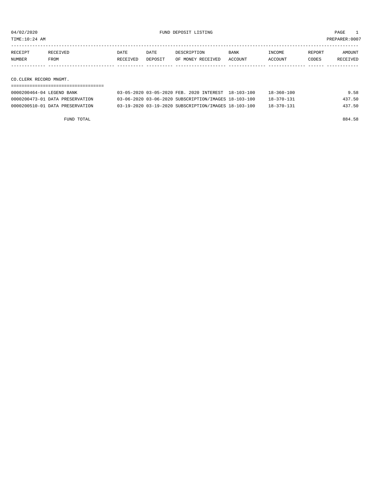TIME:10:24 AM PREPARER:0007

| RECEIPT | RECEIVED    | DATE     | DATE    | DESCRIPTION               | BANK | INCOME  | REPORT | AMOUNT   |
|---------|-------------|----------|---------|---------------------------|------|---------|--------|----------|
| NUMBER  | <b>FROM</b> | RECEIVED | DEPOSIT | OF MONEY RECEIVED ACCOUNT |      | ACCOUNT | CODES  | RECEIVED |
|         |             |          |         |                           |      |         |        |          |
|         |             |          |         |                           |      |         |        |          |

CO.CLERK RECORD MNGMT.

| 0000200464-04 LEGEND BANK       | 03-05-2020 03-05-2020 FEB. 2020 INTEREST 18-103-100  | $18 - 360 - 100$ | 9.58   |
|---------------------------------|------------------------------------------------------|------------------|--------|
| 0000200473-01 DATA PRESERVATION | 03-06-2020 03-06-2020 SUBSCRIPTION/IMAGES 18-103-100 | $18 - 370 - 131$ | 437.50 |
| 0000200510-01 DATA PRESERVATION | 03-19-2020 03-19-2020 SUBSCRIPTION/IMAGES 18-103-100 | $18 - 370 - 131$ | 437.50 |

FUND TOTAL 884.58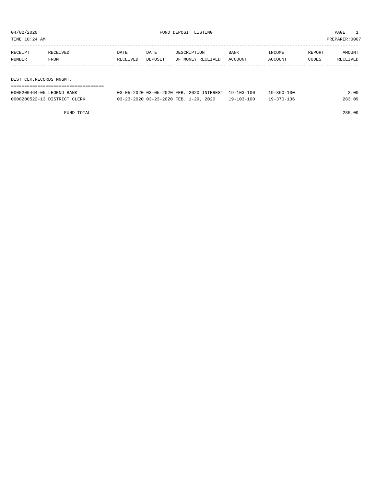| TIME:10:24 AM |         |                         |          |         |                   |         |         |        | PREPARER: 0007 |  |  |  |
|---------------|---------|-------------------------|----------|---------|-------------------|---------|---------|--------|----------------|--|--|--|
|               |         |                         |          |         |                   |         |         |        |                |  |  |  |
|               | RECEIPT | RECEIVED                | DATE     | DATE    | DESCRIPTION       | BANK    | INCOME  | REPORT | AMOUNT         |  |  |  |
|               | NUMBER  | FROM                    | RECEIVED | DEPOSIT | OF MONEY RECEIVED | ACCOUNT | ACCOUNT | CODES  | RECEIVED       |  |  |  |
|               |         |                         |          |         |                   |         |         |        |                |  |  |  |
|               |         |                         |          |         |                   |         |         |        |                |  |  |  |
|               |         | DIST.CLK.RECORDS MNGMT. |          |         |                   |         |         |        |                |  |  |  |
|               |         |                         |          |         |                   |         |         |        |                |  |  |  |

| 0000200464-05 LEGEND BANK    | 03-05-2020 03-05-2020 FEB. 2020 INTEREST 19-103-100 |                  | $19 - 360 - 100$ | 2.00   |
|------------------------------|-----------------------------------------------------|------------------|------------------|--------|
| 0000200522-13 DISTRICT CLERK | 03-23-2020 03-23-2020 FEB. 1-29, 2020               | $19 - 103 - 100$ | $19 - 370 - 136$ | 283.09 |

FUND TOTAL 285.09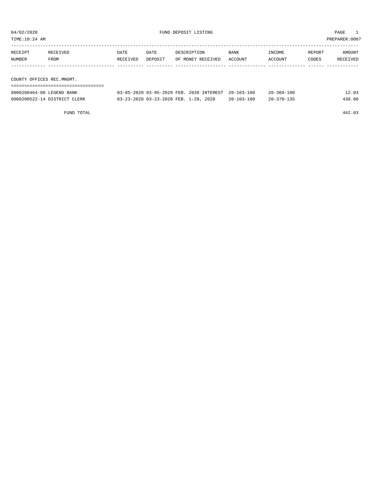| TIME:10:24 AM             |                           |          |         |                                          |                  |                  |        | PREPARER:0007 |
|---------------------------|---------------------------|----------|---------|------------------------------------------|------------------|------------------|--------|---------------|
|                           |                           |          |         |                                          |                  |                  |        |               |
| RECEIPT                   | RECEIVED                  | DATE     | DATE    | DESCRIPTION                              | BANK             | INCOME           | REPORT | AMOUNT        |
| NUMBER                    | FROM                      | RECEIVED | DEPOSIT | OF MONEY RECEIVED                        | ACCOUNT          | ACCOUNT          | CODES  | RECEIVED      |
|                           |                           |          |         |                                          |                  |                  |        |               |
|                           |                           |          |         |                                          |                  |                  |        |               |
| COUNTY OFFICES REC.MNGMT. |                           |          |         |                                          |                  |                  |        |               |
|                           |                           |          |         |                                          |                  |                  |        |               |
|                           | 0000200464-06 LEGEND BANK |          |         | 03-05-2020 03-05-2020 FEB. 2020 INTEREST | $20 - 103 - 100$ | $20 - 360 - 100$ |        | 12.03         |

0000200522-14 DISTRICT CLERK 03-23-2020 03-23-2020 FEB. 1-29, 2020 20-103-100 20-370-135 430.00

FUND TOTAL 442.03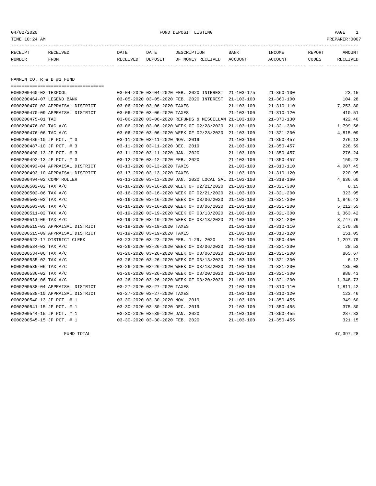04/02/2020 FUND DEPOSIT LISTING PAGE 1

| RECEIPT | <b>RECEIVED</b> | DATE     | DATE    | DESCRIPTION          | <b>BANK</b>    | INCOME  | <b>REPORT</b> | AMOUNT          |
|---------|-----------------|----------|---------|----------------------|----------------|---------|---------------|-----------------|
| NUMBER  | FROM            | RECEIVED | DEPOSIT | RECEIVED<br>OF MONEY | <b>ACCOUNT</b> | ACCOUNT | CODES         | <b>RECEIVED</b> |
|         |                 |          |         |                      |                |         |               |                 |

FANNIN CO. R & B #1 FUND

| ===================================== |                                 |                                                      |                  |                  |          |
|---------------------------------------|---------------------------------|------------------------------------------------------|------------------|------------------|----------|
| 0000200460-02 TEXPOOL                 |                                 | 03-04-2020 03-04-2020 FEB. 2020 INTEREST 21-103-175  |                  | $21 - 360 - 100$ | 23.15    |
| 0000200464-07 LEGEND BANK             |                                 | 03-05-2020 03-05-2020 FEB. 2020 INTEREST             | 21-103-100       | $21 - 360 - 100$ | 104.28   |
| 0000200470-03 APPRAISAL DISTRICT      | 03-06-2020 03-06-2020 TAXES     |                                                      | $21 - 103 - 100$ | $21 - 310 - 110$ | 7,253.80 |
| 0000200470-09 APPRAISAL DISTRICT      | 03-06-2020 03-06-2020 TAXES     |                                                      | $21 - 103 - 100$ | $21 - 310 - 120$ | 410.51   |
| 0000200475-01 TAC                     |                                 | 03-06-2020 03-06-2020 REFUNDS & MISCELLAN 21-103-100 |                  | $21 - 370 - 130$ | 422.40   |
| 0000200476-02 TAC A/C                 |                                 | 03-06-2020 03-06-2020 WEEK OF 02/28/2020             | 21-103-100       | $21 - 321 - 300$ | 1,799.56 |
| 0000200476-06 TAC A/C                 |                                 | 03-06-2020 03-06-2020 WEEK OF 02/28/2020             | $21 - 103 - 100$ | $21 - 321 - 200$ | 4,815.09 |
| 0000200486-10 JP PCT. # 3             | 03-11-2020 03-11-2020 NOV. 2019 |                                                      | $21 - 103 - 100$ | $21 - 350 - 457$ | 276.13   |
| 0000200487-10 JP PCT. # 3             | 03-11-2020 03-11-2020 DEC. 2019 |                                                      | $21 - 103 - 100$ | $21 - 350 - 457$ | 228.59   |
| 0000200490-13 JP PCT. # 3             | 03-11-2020 03-11-2020 JAN. 2020 |                                                      | $21 - 103 - 100$ | $21 - 350 - 457$ | 276.24   |
| 0000200492-13 JP PCT. # 3             | 03-12-2020 03-12-2020 FEB. 2020 |                                                      | $21 - 103 - 100$ | $21 - 350 - 457$ | 159.23   |
| 0000200493-04 APPRAISAL DISTRICT      | 03-13-2020 03-13-2020 TAXES     |                                                      | $21 - 103 - 100$ | $21 - 310 - 110$ | 4,007.45 |
| 0000200493-10 APPRAISAL DISTRICT      | 03-13-2020 03-13-2020 TAXES     |                                                      | $21 - 103 - 100$ | $21 - 310 - 120$ | 220.95   |
| 0000200494-02 COMPTROLLER             |                                 | 03-13-2020 03-13-2020 JAN. 2020 LOCAL SAL 21-103-100 |                  | $21 - 318 - 160$ | 4,636.60 |
| 0000200502-02 TAX A/C                 |                                 | 03-16-2020 03-16-2020 WEEK OF 02/21/2020             | 21-103-100       | $21 - 321 - 300$ | 8.15     |
| 0000200502-06 TAX A/C                 |                                 | 03-16-2020 03-16-2020 WEEK OF 02/21/2020             | $21 - 103 - 100$ | $21 - 321 - 200$ | 323.95   |
| 0000200503-02 TAX A/C                 |                                 | 03-16-2020 03-16-2020 WEEK OF 03/06/2020             | $21 - 103 - 100$ | $21 - 321 - 300$ | 1,846.43 |
| 0000200503-06 TAX A/C                 |                                 | 03-16-2020 03-16-2020 WEEK OF 03/06/2020             | $21 - 103 - 100$ | $21 - 321 - 200$ | 5,212.55 |
| 0000200511-02 TAX A/C                 |                                 | 03-19-2020 03-19-2020 WEEK OF 03/13/2020             | $21 - 103 - 100$ | $21 - 321 - 300$ | 1,363.42 |
| 0000200511-06 TAX A/C                 |                                 | 03-19-2020 03-19-2020 WEEK OF 03/13/2020             | $21 - 103 - 100$ | $21 - 321 - 200$ | 3,747.76 |
| 0000200515-03 APPRAISAL DISTRICT      | 03-19-2020 03-19-2020 TAXES     |                                                      | $21 - 103 - 100$ | $21 - 310 - 110$ | 2,170.38 |
| 0000200515-09 APPRAISAL DISTRICT      | 03-19-2020 03-19-2020 TAXES     |                                                      | $21 - 103 - 100$ | $21 - 310 - 120$ | 151.05   |
| 0000200522-17 DISTRICT CLERK          |                                 | 03-23-2020 03-23-2020 FEB. 1-29, 2020                | 21-103-100       | $21 - 350 - 450$ | 1,297.79 |
| 0000200534-02 TAX A/C                 |                                 | 03-26-2020 03-26-2020 WEEK OF 03/06/2020             | $21 - 103 - 100$ | $21 - 321 - 300$ | 28.53    |
| 0000200534-06 TAX A/C                 |                                 | 03-26-2020 03-26-2020 WEEK OF 03/06/2020             | $21 - 103 - 100$ | $21 - 321 - 200$ | 865.67   |
| 0000200535-02 TAX A/C                 |                                 | 03-26-2020 03-26-2020 WEEK OF 03/13/2020             | $21 - 103 - 100$ | $21 - 321 - 300$ | 6.12     |
| 0000200535-06 TAX A/C                 |                                 | 03-26-2020 03-26-2020 WEEK OF 03/13/2020             | $21 - 103 - 100$ | $21 - 321 - 200$ | 135.08   |
| 0000200536-02 TAX A/C                 |                                 | 03-26-2020 03-26-2020 WEEK OF 03/20/2020             | $21 - 103 - 100$ | $21 - 321 - 300$ | 988.43   |
| 0000200536-06 TAX A/C                 |                                 | 03-26-2020 03-26-2020 WEEK OF 03/20/2020             | $21 - 103 - 100$ | $21 - 321 - 200$ | 1,348.73 |
| 0000200538-04 APPRAISAL DISTRICT      | 03-27-2020 03-27-2020 TAXES     |                                                      | 21-103-100       | $21 - 310 - 110$ | 1,811.42 |
| 0000200538-10 APPRAISAL DISTRICT      | 03-27-2020 03-27-2020 TAXES     |                                                      | $21 - 103 - 100$ | $21 - 310 - 120$ | 123.46   |
| 0000200540-13 JP PCT. # 1             | 03-30-2020 03-30-2020 NOV. 2019 |                                                      | $21 - 103 - 100$ | $21 - 350 - 455$ | 349.60   |
| 0000200541-15 JP PCT. # 1             | 03-30-2020 03-30-2020 DEC. 2019 |                                                      | $21 - 103 - 100$ | $21 - 350 - 455$ | 375.80   |
| 0000200544-15 JP PCT. # 1             | 03-30-2020 03-30-2020 JAN. 2020 |                                                      | $21 - 103 - 100$ | $21 - 350 - 455$ | 287.83   |
| 0000200545-15 JP PCT. # 1             | 03-30-2020 03-30-2020 FEB. 2020 |                                                      | $21 - 103 - 100$ | $21 - 350 - 455$ | 321.15   |

FUND TOTAL 47,397.28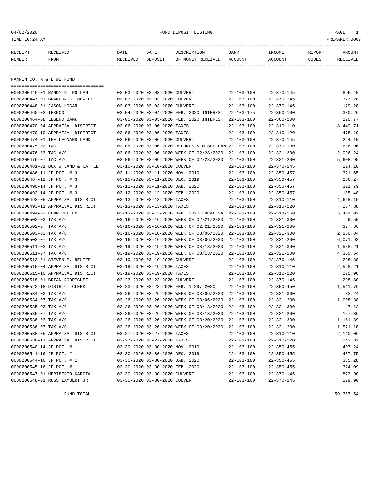### 04/02/2020 FUND DEPOSIT LISTING PAGE 1

| RECEIPT | <b>RECEIVED</b> | DATE            | DATE    | DESCRIPTION       | <b>BANK</b> | <b>INCOME</b> | REPORT | AMOUNT          |
|---------|-----------------|-----------------|---------|-------------------|-------------|---------------|--------|-----------------|
| NUMBER  | FROM            | <b>RECEIVED</b> | DEPOSIT | OF MONEY RECEIVED | ACCOUNT     | ACCOUNT       | CODES  | <b>RECEIVED</b> |
|         |                 |                 |         |                   |             |               |        |                 |

FANNIN CO. R & B #2 FUND

| ------------------------------------ |                                                      |                  |                  |          |
|--------------------------------------|------------------------------------------------------|------------------|------------------|----------|
| 0000200446-01 RANDY D. POLLAN        | 03-03-2020 03-03-2020 CULVERT                        | $22 - 103 - 100$ | $22 - 370 - 145$ | 896.40   |
| 0000200447-01 BRANDON C. HOWELL      | 03-03-2020 03-03-2020 CULVERT                        | $22 - 103 - 100$ | $22 - 370 - 145$ | 373.20   |
| 0000200448-01 JASON HOGAN            | 03-03-2020 03-03-2020 CULVERT                        | $22 - 103 - 100$ | $22 - 370 - 145$ | 179.28   |
| 0000200460-03 TEXPOOL                | 03-04-2020 03-04-2020 FEB. 2020 INTEREST             | $22 - 103 - 175$ | $22 - 360 - 100$ | 330.26   |
| 0000200464-08 LEGEND BANK            | 03-05-2020 03-05-2020 FEB. 2020 INTEREST             | $22 - 103 - 100$ | $22 - 360 - 100$ | 120.77   |
| 0000200470-04 APPRAISAL DISTRICT     | 03-06-2020 03-06-2020 TAXES                          | $22 - 103 - 100$ | $22 - 310 - 110$ | 8,449.71 |
| 0000200470-10 APPRAISAL DISTRICT     | 03-06-2020 03-06-2020 TAXES                          | $22 - 103 - 100$ | $22 - 310 - 120$ | 478.19   |
| 0000200474-01 THE LEONARD LAND       | 03-06-2020 03-06-2020 CULVERT                        | $22 - 103 - 100$ | $22 - 370 - 145$ | 224.10   |
| 0000200475-02 TAC                    | 03-06-2020 03-06-2020 REFUNDS & MISCELLAN 22-103-100 |                  | $22 - 370 - 130$ | 696.96   |
| 0000200476-03 TAC A/C                | 03-06-2020 03-06-2020 WEEK OF 02/28/2020             | $22 - 103 - 100$ | $22 - 321 - 300$ | 2,096.24 |
| 0000200476-07 TAC A/C                | 03-06-2020 03-06-2020 WEEK OF 02/28/2020             | $22 - 103 - 100$ | $22 - 321 - 200$ | 5,608.95 |
| 0000200481-01 BOX W LAND & CATTLE    | 03-10-2020 03-10-2020 CULVERT                        | $22 - 103 - 100$ | $22 - 370 - 145$ | 224.10   |
| 0000200486-11 JP PCT. # 3            | 03-11-2020 03-11-2020 NOV. 2019                      | $22 - 103 - 100$ | $22 - 350 - 457$ | 321.65   |
| 0000200487-11 JP PCT. # 3            | 03-11-2020 03-11-2020 DEC. 2019                      | $22 - 103 - 100$ | $22 - 350 - 457$ | 266.27   |
| 0000200490-14 JP PCT. # 3            | 03-11-2020 03-11-2020 JAN. 2020                      | $22 - 103 - 100$ | $22 - 350 - 457$ | 321.79   |
| 0000200492-14 JP PCT. # 3            | 03-12-2020 03-12-2020 FEB. 2020                      | $22 - 103 - 100$ | $22 - 350 - 457$ | 185.48   |
| 0000200493-05 APPRAISAL DISTRICT     | 03-13-2020 03-13-2020 TAXES                          | $22 - 103 - 100$ | $22 - 310 - 110$ | 4,668.15 |
| 0000200493-11 APPRAISAL DISTRICT     | 03-13-2020 03-13-2020 TAXES                          | $22 - 103 - 100$ | $22 - 310 - 120$ | 257.38   |
| 0000200494-03 COMPTROLLER            | 03-13-2020 03-13-2020 JAN. 2020 LOCAL SAL 22-103-100 |                  | $22 - 318 - 160$ | 5,401.02 |
| 0000200502-03 TAX A/C                | 03-16-2020 03-16-2020 WEEK OF 02/21/2020             | $22 - 103 - 100$ | $22 - 321 - 300$ | 9.50     |
| 0000200502-07 TAX A/C                | 03-16-2020 03-16-2020 WEEK OF 02/21/2020             | $22 - 103 - 100$ | $22 - 321 - 200$ | 377.36   |
| 0000200503-03 TAX A/C                | 03-16-2020 03-16-2020 WEEK OF 03/06/2020             | $22 - 103 - 100$ | $22 - 321 - 300$ | 2,150.84 |
| 0000200503-07 TAX A/C                | 03-16-2020 03-16-2020 WEEK OF 03/06/2020             | $22 - 103 - 100$ | $22 - 321 - 200$ | 6,071.93 |
| 0000200511-03 TAX A/C                | 03-19-2020 03-19-2020 WEEK OF 03/13/2020             | $22 - 103 - 100$ | $22 - 321 - 300$ | 1,588.21 |
| 0000200511-07 TAX A/C                | 03-19-2020 03-19-2020 WEEK OF 03/13/2020             | $22 - 103 - 100$ | $22 - 321 - 200$ | 4,365.64 |
| 0000200513-01 STEVEN P. BELIES       | 03-19-2020 03-19-2020 CULVERT                        | $22 - 103 - 100$ | $22 - 370 - 145$ | 298.80   |
| 0000200515-04 APPRAISAL DISTRICT     | 03-19-2020 03-19-2020 TAXES                          | $22 - 103 - 100$ | $22 - 310 - 110$ | 2,528.21 |
| 0000200515-10 APPRAISAL DISTRICT     | 03-19-2020 03-19-2020 TAXES                          | $22 - 103 - 100$ | $22 - 310 - 120$ | 175.96   |
| 0000200518-01 BRIAN RODRIGUEZ        | 03-23-2020 03-23-2020 CULVERT                        | $22 - 103 - 100$ | $22 - 370 - 145$ | 298.80   |
| 0000200522-18 DISTRICT CLERK         | 03-23-2020 03-23-2020 FEB. 1-29, 2020                | $22 - 103 - 100$ | $22 - 350 - 450$ | 1,511.76 |
| 0000200534-03 TAX A/C                | 03-26-2020 03-26-2020 WEEK OF 03/06/2020             | $22 - 103 - 100$ | $22 - 321 - 300$ | 33.24    |
| 0000200534-07 TAX A/C                | 03-26-2020 03-26-2020 WEEK OF 03/06/2020             | $22 - 103 - 100$ | $22 - 321 - 200$ | 1,008.38 |
| 0000200535-03 TAX A/C                | 03-26-2020 03-26-2020 WEEK OF 03/13/2020             | $22 - 103 - 100$ | $22 - 321 - 300$ | 7.12     |
| 0000200535-07 TAX A/C                | 03-26-2020 03-26-2020 WEEK OF 03/13/2020             | $22 - 103 - 100$ | $22 - 321 - 200$ | 157.36   |
| 0000200536-03 TAX A/C                | 03-26-2020 03-26-2020 WEEK OF 03/20/2020             | $22 - 103 - 100$ | $22 - 321 - 300$ | 1,151.39 |
| 0000200536-07 TAX A/C                | 03-26-2020 03-26-2020 WEEK OF 03/20/2020             | $22 - 103 - 100$ | $22 - 321 - 200$ | 1,571.10 |
| 0000200538-05 APPRAISAL DISTRICT     | 03-27-2020 03-27-2020 TAXES                          | $22 - 103 - 100$ | $22 - 310 - 110$ | 2,110.06 |
| 0000200538-11 APPRAISAL DISTRICT     | 03-27-2020 03-27-2020 TAXES                          | $22 - 103 - 100$ | $22 - 310 - 120$ | 143.82   |
| 0000200540-14 JP PCT. # 1            | 03-30-2020 03-30-2020 NOV. 2019                      | $22 - 103 - 100$ | $22 - 350 - 455$ | 407.24   |
| 0000200541-16 JP PCT. # 1            | 03-30-2020 03-30-2020 DEC. 2019                      | $22 - 103 - 100$ | $22 - 350 - 455$ | 437.75   |
| 0000200544-16 JP PCT. # 1            | 03-30-2020 03-30-2020 JAN. 2020                      | $22 - 103 - 100$ | $22 - 350 - 455$ | 335.28   |
| 0000200545-16 JP PCT. # 1            | 03-30-2020 03-30-2020 FEB. 2020                      | $22 - 103 - 100$ | $22 - 350 - 455$ | 374.09   |
| 0000200547-01 HERIBERTO GARCIA       | 03-30-2020 03-30-2020 CULVERT                        | $22 - 103 - 100$ | $22 - 370 - 145$ | 873.90   |
| 0000200548-01 RUSS LAMBERT JR.       | 03-30-2020 03-30-2020 CULVERT                        | $22 - 103 - 100$ | $22 - 370 - 145$ | 279.90   |
|                                      |                                                      |                  |                  |          |

FUND TOTAL  $59,367.54$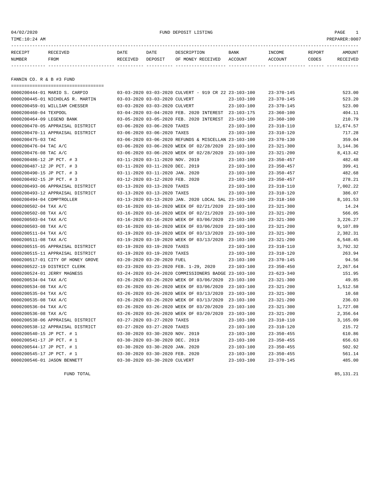### 04/02/2020 FUND DEPOSIT LISTING PAGE 1

| RECEIPT | <b>RECEIVED</b> | DATE            | DATE    | DESCRIPTION       | <b>BANK</b> | <b>INCOME</b> | REPORT | AMOUNT          |
|---------|-----------------|-----------------|---------|-------------------|-------------|---------------|--------|-----------------|
| NUMBER  | FROM            | <b>RECEIVED</b> | DEPOSIT | OF MONEY RECEIVED | ACCOUNT     | ACCOUNT       | CODES  | <b>RECEIVED</b> |
|         |                 |                 |         |                   |             |               |        |                 |

FANNIN CO. R & B #3 FUND

| ==================================== |                                                      |                  |                  |           |
|--------------------------------------|------------------------------------------------------|------------------|------------------|-----------|
| 0000200444-01 MARIO S. CARPIO        | 03-03-2020 03-03-2020 CULVERT - 919 CR 22 23-103-100 |                  | $23 - 370 - 145$ | 523.00    |
| 0000200445-01 NICHOLAS R. MARTIN     | 03-03-2020 03-03-2020 CULVERT                        | $23 - 103 - 100$ | $23 - 370 - 145$ | 523.20    |
| 0000200459-01 WILLIAM CHESSER        | 03-03-2020 03-03-2020 CULVERT                        | $23 - 103 - 100$ | $23 - 370 - 145$ | 523.00    |
| 0000200460-04 TEXPOOL                | 03-04-2020 03-04-2020 FEB. 2020 INTEREST 23-103-175  |                  | $23 - 360 - 100$ | 404.11    |
| 0000200464-09 LEGEND BANK            | 03-05-2020 03-05-2020 FEB. 2020 INTEREST             | 23-103-100       | $23 - 360 - 100$ | 210.79    |
| 0000200470-05 APPRAISAL DISTRICT     | 03-06-2020 03-06-2020 TAXES                          | $23 - 103 - 100$ | $23 - 310 - 110$ | 12,674.57 |
| 0000200470-11 APPRAISAL DISTRICT     | 03-06-2020 03-06-2020 TAXES                          | $23 - 103 - 100$ | $23 - 310 - 120$ | 717.28    |
| 0000200475-03 TAC                    | 03-06-2020 03-06-2020 REFUNDS & MISCELLAN 23-103-100 |                  | $23 - 370 - 130$ | 359.04    |
| 0000200476-04 TAC A/C                | 03-06-2020 03-06-2020 WEEK OF 02/28/2020             | $23 - 103 - 100$ | $23 - 321 - 300$ | 3,144.36  |
| 0000200476-08 TAC A/C                | 03-06-2020 03-06-2020 WEEK OF 02/28/2020             | $23 - 103 - 100$ | $23 - 321 - 200$ | 8,413.42  |
| 0000200486-12 JP PCT. # 3            | 03-11-2020 03-11-2020 NOV. 2019                      | $23 - 103 - 100$ | $23 - 350 - 457$ | 482.48    |
| 0000200487-12 JP PCT. # 3            | 03-11-2020 03-11-2020 DEC. 2019                      | $23 - 103 - 100$ | $23 - 350 - 457$ | 399.41    |
| 0000200490-15 JP PCT. # 3            | 03-11-2020 03-11-2020 JAN. 2020                      | $23 - 103 - 100$ | $23 - 350 - 457$ | 482.68    |
| 0000200492-15 JP PCT. # 3            | 03-12-2020 03-12-2020 FEB. 2020                      | $23 - 103 - 100$ | $23 - 350 - 457$ | 278.21    |
| 0000200493-06 APPRAISAL DISTRICT     | 03-13-2020 03-13-2020 TAXES                          | $23 - 103 - 100$ | $23 - 310 - 110$ | 7,002.22  |
| 0000200493-12 APPRAISAL DISTRICT     | 03-13-2020 03-13-2020 TAXES                          | $23 - 103 - 100$ | $23 - 310 - 120$ | 386.07    |
| 0000200494-04 COMPTROLLER            | 03-13-2020 03-13-2020 JAN. 2020 LOCAL SAL 23-103-100 |                  | $23 - 318 - 160$ | 8,101.53  |
| 0000200502-04 TAX A/C                | 03-16-2020 03-16-2020 WEEK OF 02/21/2020             | $23 - 103 - 100$ | $23 - 321 - 300$ | 14.24     |
| 0000200502-08 TAX A/C                | 03-16-2020 03-16-2020 WEEK OF 02/21/2020             | $23 - 103 - 100$ | $23 - 321 - 200$ | 566.05    |
| 0000200503-04 TAX A/C                | 03-16-2020 03-16-2020 WEEK OF 03/06/2020             | $23 - 103 - 100$ | $23 - 321 - 300$ | 3,226.27  |
| 0000200503-08 TAX A/C                | 03-16-2020 03-16-2020 WEEK OF 03/06/2020             | $23 - 103 - 100$ | $23 - 321 - 200$ | 9,107.89  |
| 0000200511-04 TAX A/C                | 03-19-2020 03-19-2020 WEEK OF 03/13/2020             | $23 - 103 - 100$ | $23 - 321 - 300$ | 2,382.31  |
| 0000200511-08 TAX A/C                | 03-19-2020 03-19-2020 WEEK OF 03/13/2020             | $23 - 103 - 100$ | $23 - 321 - 200$ | 6,548.45  |
| 0000200515-05 APPRAISAL DISTRICT     | 03-19-2020 03-19-2020 TAXES                          | $23 - 103 - 100$ | $23 - 310 - 110$ | 3,792.32  |
| 0000200515-11 APPRAISAL DISTRICT     | 03-19-2020 03-19-2020 TAXES                          | $23 - 103 - 100$ | $23 - 310 - 120$ | 263.94    |
| 0000200517-01 CITY OF HONEY GROVE    | 03-20-2020 03-20-2020 FUEL                           | $23 - 103 - 100$ | $23 - 370 - 145$ | 94.56     |
| 0000200522-19 DISTRICT CLERK         | 03-23-2020 03-23-2020 FEB. 1-29, 2020                | $23 - 103 - 100$ | $23 - 350 - 450$ | 2,267.64  |
| 0000200524-01 JERRY MAGNESS          | 03-24-2020 03-24-2020 COMMISSIONERS BADGE 23-103-100 |                  | $23 - 623 - 340$ | 151.95    |
| 0000200534-04 TAX A/C                | 03-26-2020 03-26-2020 WEEK OF 03/06/2020             | $23 - 103 - 100$ | $23 - 321 - 300$ | 49.85     |
| 0000200534-08 TAX A/C                | 03-26-2020 03-26-2020 WEEK OF 03/06/2020             | $23 - 103 - 100$ | $23 - 321 - 200$ | 1,512.58  |
| 0000200535-04 TAX A/C                | 03-26-2020 03-26-2020 WEEK OF 03/13/2020             | $23 - 103 - 100$ | $23 - 321 - 300$ | 10.68     |
| 0000200535-08 TAX A/C                | 03-26-2020 03-26-2020 WEEK OF 03/13/2020             | $23 - 103 - 100$ | $23 - 321 - 200$ | 236.03    |
| 0000200536-04 TAX A/C                | 03-26-2020 03-26-2020 WEEK OF 03/20/2020             | $23 - 103 - 100$ | $23 - 321 - 300$ | 1,727.08  |
| 0000200536-08 TAX A/C                | 03-26-2020 03-26-2020 WEEK OF 03/20/2020             | $23 - 103 - 100$ | $23 - 321 - 200$ | 2,356.64  |
| 0000200538-06 APPRAISAL DISTRICT     | 03-27-2020 03-27-2020 TAXES                          | $23 - 103 - 100$ | $23 - 310 - 110$ | 3,165.09  |
| 0000200538-12 APPRAISAL DISTRICT     | 03-27-2020 03-27-2020 TAXES                          | $23 - 103 - 100$ | $23 - 310 - 120$ | 215.72    |
| 0000200540-15 JP PCT. # 1            | 03-30-2020 03-30-2020 NOV. 2019                      | $23 - 103 - 100$ | $23 - 350 - 455$ | 610.86    |
| 0000200541-17 JP PCT. # 1            | 03-30-2020 03-30-2020 DEC. 2019                      | $23 - 103 - 100$ | $23 - 350 - 455$ | 656.63    |
| 0000200544-17 JP PCT. # 1            | 03-30-2020 03-30-2020 JAN. 2020                      | $23 - 103 - 100$ | $23 - 350 - 455$ | 502.92    |
| 0000200545-17 JP PCT. # 1            | 03-30-2020 03-30-2020 FEB. 2020                      | $23 - 103 - 100$ | $23 - 350 - 455$ | 561.14    |
| 0000200546-01 JASON BENNETT          | 03-30-2020 03-30-2020 CULVERT                        | $23 - 103 - 100$ | $23 - 370 - 145$ | 485.00    |
|                                      |                                                      |                  |                  |           |

FUND TOTAL 85,131.21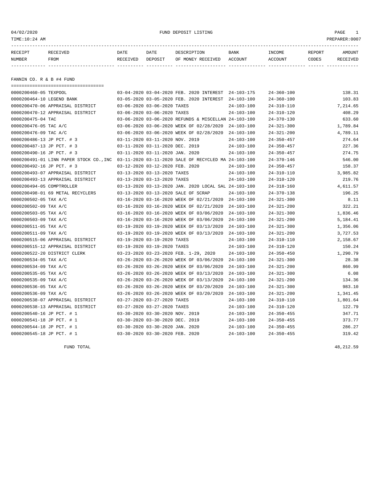04/02/2020 FUND DEPOSIT LISTING PAGE 1

| RECEIPT | <b>RECEIVED</b> | DATE            | DATE    | DESCRIPTION       | <b>BANK</b> | <b>INCOME</b> | REPORT | AMOUNT          |
|---------|-----------------|-----------------|---------|-------------------|-------------|---------------|--------|-----------------|
| NUMBER  | FROM            | <b>RECEIVED</b> | DEPOSIT | OF MONEY RECEIVED | ACCOUNT     | ACCOUNT       | CODES  | <b>RECEIVED</b> |
|         |                 |                 |         |                   |             |               |        |                 |

FANNIN CO. R & B #4 FUND

| ===================================== |                                                                                              |                  |                  |          |
|---------------------------------------|----------------------------------------------------------------------------------------------|------------------|------------------|----------|
| 0000200460-05 TEXPOOL                 | 03-04-2020 03-04-2020 FEB. 2020 INTEREST 24-103-175                                          |                  | $24 - 360 - 100$ | 138.31   |
| 0000200464-10 LEGEND BANK             | 03-05-2020 03-05-2020 FEB. 2020 INTEREST                                                     | $24 - 103 - 100$ | $24 - 360 - 100$ | 103.83   |
| 0000200470-06 APPRAISAL DISTRICT      | 03-06-2020 03-06-2020 TAXES                                                                  | $24 - 103 - 100$ | $24 - 310 - 110$ | 7,214.65 |
| 0000200470-12 APPRAISAL DISTRICT      | 03-06-2020 03-06-2020 TAXES                                                                  | $24 - 103 - 100$ | $24 - 310 - 120$ | 408.29   |
| 0000200475-04 TAC                     | 03-06-2020 03-06-2020 REFUNDS & MISCELLAN 24-103-100                                         |                  | $24 - 370 - 130$ | 633.60   |
| 0000200476-05 TAC A/C                 | 03-06-2020 03-06-2020 WEEK OF 02/28/2020                                                     | $24 - 103 - 100$ | $24 - 321 - 300$ | 1,789.84 |
| 0000200476-09 TAC A/C                 | 03-06-2020 03-06-2020 WEEK OF 02/28/2020                                                     | 24-103-100       | $24 - 321 - 200$ | 4,789.11 |
| 0000200486-13 JP PCT. # 3             | 03-11-2020 03-11-2020 NOV. 2019                                                              | $24 - 103 - 100$ | $24 - 350 - 457$ | 274.64   |
| 0000200487-13 JP PCT. # 3             | 03-11-2020 03-11-2020 DEC. 2019                                                              | $24 - 103 - 100$ | $24 - 350 - 457$ | 227.36   |
| 0000200490-16 JP PCT. # 3             | 03-11-2020 03-11-2020 JAN. 2020                                                              | $24 - 103 - 100$ | $24 - 350 - 457$ | 274.75   |
|                                       | 0000200491-01 LINN PAPER STOCK CO., INC 03-11-2020 03-11-2020 SALE OF RECYCLED MA 24-103-100 |                  | $24 - 370 - 146$ | 546.00   |
| 0000200492-16 JP PCT. # 3             | 03-12-2020 03-12-2020 FEB. 2020                                                              | $24 - 103 - 100$ | $24 - 350 - 457$ | 158.37   |
| 0000200493-07 APPRAISAL DISTRICT      | 03-13-2020 03-13-2020 TAXES                                                                  | $24 - 103 - 100$ | $24 - 310 - 110$ | 3,985.82 |
| 0000200493-13 APPRAISAL DISTRICT      | 03-13-2020 03-13-2020 TAXES                                                                  | $24 - 103 - 100$ | $24 - 310 - 120$ | 219.76   |
| 0000200494-05 COMPTROLLER             | 03-13-2020 03-13-2020 JAN. 2020 LOCAL SAL 24-103-100                                         |                  | $24 - 318 - 160$ | 4,611.57 |
| 0000200498-01 69 METAL RECYCLERS      | 03-13-2020 03-13-2020 SALE OF SCRAP                                                          | $24 - 103 - 100$ | $24 - 370 - 138$ | 196.25   |
| 0000200502-05 TAX A/C                 | 03-16-2020 03-16-2020 WEEK OF 02/21/2020                                                     | $24 - 103 - 100$ | $24 - 321 - 300$ | 8.11     |
| 0000200502-09 TAX A/C                 | 03-16-2020 03-16-2020 WEEK OF 02/21/2020                                                     | $24 - 103 - 100$ | $24 - 321 - 200$ | 322.21   |
| 0000200503-05 TAX A/C                 | 03-16-2020 03-16-2020 WEEK OF 03/06/2020                                                     | $24 - 103 - 100$ | $24 - 321 - 300$ | 1,836.46 |
| 0000200503-09 TAX A/C                 | 03-16-2020 03-16-2020 WEEK OF 03/06/2020                                                     | $24 - 103 - 100$ | $24 - 321 - 200$ | 5,184.41 |
| 0000200511-05 TAX A/C                 | 03-19-2020 03-19-2020 WEEK OF 03/13/2020                                                     | $24 - 103 - 100$ | $24 - 321 - 300$ | 1,356.06 |
| 0000200511-09 TAX A/C                 | 03-19-2020 03-19-2020 WEEK OF 03/13/2020                                                     | $24 - 103 - 100$ | $24 - 321 - 200$ | 3,727.53 |
| 0000200515-06 APPRAISAL DISTRICT      | 03-19-2020 03-19-2020 TAXES                                                                  | $24 - 103 - 100$ | $24 - 310 - 110$ | 2,158.67 |
| 0000200515-12 APPRAISAL DISTRICT      | 03-19-2020 03-19-2020 TAXES                                                                  | $24 - 103 - 100$ | $24 - 310 - 120$ | 150.24   |
| 0000200522-20 DISTRICT CLERK          | 03-23-2020 03-23-2020 FEB. 1-29, 2020                                                        | $24 - 103 - 100$ | $24 - 350 - 450$ | 1,290.79 |
| 0000200534-05 TAX A/C                 | 03-26-2020 03-26-2020 WEEK OF 03/06/2020                                                     | $24 - 103 - 100$ | $24 - 321 - 300$ | 28.38    |
| 0000200534-09 TAX A/C                 | 03-26-2020 03-26-2020 WEEK OF 03/06/2020                                                     | $24 - 103 - 100$ | $24 - 321 - 200$ | 860.99   |
| 0000200535-05 TAX A/C                 | 03-26-2020 03-26-2020 WEEK OF 03/13/2020                                                     | $24 - 103 - 100$ | $24 - 321 - 300$ | 6.08     |
| 0000200535-09 TAX A/C                 | 03-26-2020 03-26-2020 WEEK OF 03/13/2020                                                     | $24 - 103 - 100$ | $24 - 321 - 200$ | 134.36   |
| 0000200536-05 TAX A/C                 | 03-26-2020 03-26-2020 WEEK OF 03/20/2020                                                     | $24 - 103 - 100$ | $24 - 321 - 300$ | 983.10   |
| 0000200536-09 TAX A/C                 | 03-26-2020 03-26-2020 WEEK OF 03/20/2020                                                     | $24 - 103 - 100$ | $24 - 321 - 200$ | 1,341.45 |
| 0000200538-07 APPRAISAL DISTRICT      | 03-27-2020 03-27-2020 TAXES                                                                  | $24 - 103 - 100$ | $24 - 310 - 110$ | 1,801.64 |
| 0000200538-13 APPRAISAL DISTRICT      | 03-27-2020 03-27-2020 TAXES                                                                  | $24 - 103 - 100$ | $24 - 310 - 120$ | 122.79   |
| 0000200540-16 JP PCT. # 1             | 03-30-2020 03-30-2020 NOV. 2019                                                              | $24 - 103 - 100$ | $24 - 350 - 455$ | 347.71   |
| 0000200541-18 JP PCT. # 1             | 03-30-2020 03-30-2020 DEC. 2019                                                              | $24 - 103 - 100$ | $24 - 350 - 455$ | 373.77   |
| 0000200544-18 JP PCT. # 1             | 03-30-2020 03-30-2020 JAN. 2020                                                              | $24 - 103 - 100$ | $24 - 350 - 455$ | 286.27   |
| 0000200545-18 JP PCT. # 1             | 03-30-2020 03-30-2020 FEB. 2020                                                              | $24 - 103 - 100$ | $24 - 350 - 455$ | 319.42   |

FUND TOTAL  $^{48}$ , 212.59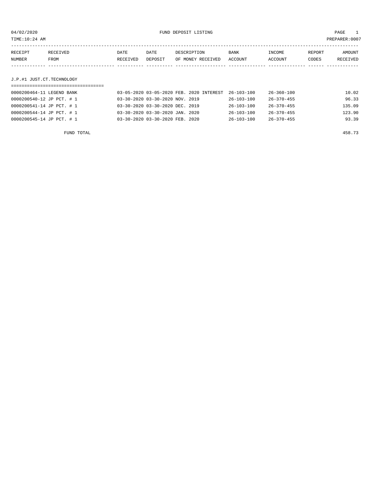|                   | TIME:10:24 AM             |                  |                 |                                  |                 |                   |                 | PREPARER: 0007     |
|-------------------|---------------------------|------------------|-----------------|----------------------------------|-----------------|-------------------|-----------------|--------------------|
| RECEIPT<br>NUMBER | RECEIVED<br>FROM          | DATE<br>RECEIVED | DATE<br>DEPOSIT | DESCRIPTION<br>OF MONEY RECEIVED | BANK<br>ACCOUNT | INCOME<br>ACCOUNT | REPORT<br>CODES | AMOUNT<br>RECEIVED |
|                   | J.P.#1 JUST.CT.TECHNOLOGY |                  |                 |                                  |                 |                   |                 |                    |

## ===================================

| 0000200464-11 LEGEND BANK | 03-05-2020 03-05-2020 FEB. 2020 INTEREST 26-103-100 |                  | 26-360-100       | 10.02  |
|---------------------------|-----------------------------------------------------|------------------|------------------|--------|
| 0000200540-12 JP PCT. # 1 | 03-30-2020 03-30-2020 NOV. 2019                     | 26-103-100       | 26-370-455       | 96.33  |
| 0000200541-14 JP PCT. # 1 | 03-30-2020 03-30-2020 DEC. 2019                     | $26 - 103 - 100$ | $26 - 370 - 455$ | 135.09 |
| 0000200544-14 JP PCT. # 1 | 03-30-2020 03-30-2020 JAN. 2020                     | $26 - 103 - 100$ | $26 - 370 - 455$ | 123.90 |
| 0000200545-14 JP PCT. # 1 | 03-30-2020 03-30-2020 FEB. 2020                     | $26 - 103 - 100$ | $26 - 370 - 455$ | 93.39  |
|                           |                                                     |                  |                  |        |

FUND TOTAL 458.73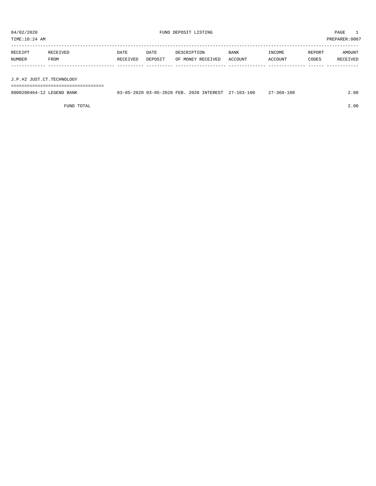TIME:10:24 AM PREPARER:0007

| RECEIPT | RECEIVED                  | DATE     | DATE    | DESCRIPTION       | <b>BANK</b> | INCOME  | REPORT | AMOUNT   |
|---------|---------------------------|----------|---------|-------------------|-------------|---------|--------|----------|
| NUMBER  | FROM                      | RECEIVED | DEPOSIT | OF MONEY RECEIVED | ACCOUNT     | ACCOUNT | CODES  | RECEIVED |
|         |                           |          |         |                   |             |         |        |          |
|         |                           |          |         |                   |             |         |        |          |
|         | J.P.#2 JUST.CT.TECHNOLOGY |          |         |                   |             |         |        |          |

===================================

0000200464-12 LEGEND BANK 03-05-2020 03-05-2020 FEB. 2020 INTEREST 27-103-100 27-360-100 27-360-100

FUND TOTAL 2.00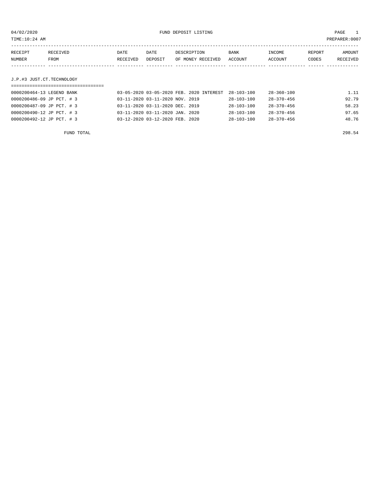| TIME:10:24 AM |                           |          |         |                                          |            |            |        | PREPARER:0007 |
|---------------|---------------------------|----------|---------|------------------------------------------|------------|------------|--------|---------------|
|               |                           |          |         |                                          |            |            |        |               |
| RECEIPT       | RECEIVED                  | DATE     | DATE    | DESCRIPTION                              | BANK       | INCOME     | REPORT | AMOUNT        |
| NUMBER        | FROM                      | RECEIVED | DEPOSIT | OF MONEY RECEIVED                        | ACCOUNT    | ACCOUNT    | CODES  | RECEIVED      |
|               |                           |          |         |                                          |            |            |        |               |
|               |                           |          |         |                                          |            |            |        |               |
|               | J.P.#3 JUST.CT.TECHNOLOGY |          |         |                                          |            |            |        |               |
|               |                           |          |         |                                          |            |            |        |               |
|               | 0000200464-13 LEGEND BANK |          |         | 03-05-2020 03-05-2020 FEB. 2020 INTEREST | 28-103-100 | 28-360-100 |        | 1.11          |

| 0000200486-09 JP PCT. #3  | 03-11-2020 03-11-2020 NOV. 2019 | 28-103-100       | 28-370-456       | 92.79 |
|---------------------------|---------------------------------|------------------|------------------|-------|
| 0000200487-09 JP PCT. # 3 | 03-11-2020 03-11-2020 DEC. 2019 | 28-103-100       | 28-370-456       | 58.23 |
| 0000200490-12 JP PCT. # 3 | 03-11-2020 03-11-2020 JAN. 2020 | $28 - 103 - 100$ | $28 - 370 - 456$ | 97.65 |
| 0000200492-12 JP PCT. # 3 | 03-12-2020 03-12-2020 FEB. 2020 | 28-103-100       | 28-370-456       | 48.76 |
|                           |                                 |                  |                  |       |
|                           |                                 |                  |                  |       |

FUND TOTAL 298.54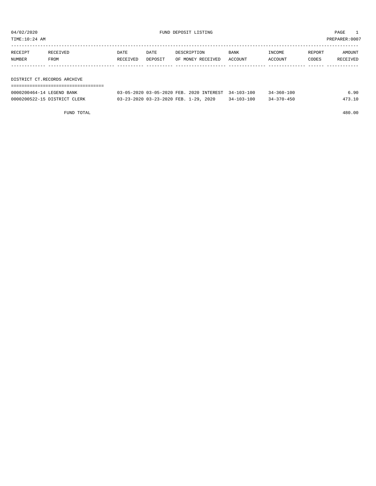TIME:10:24 AM PREPARER:0007

| RECEIPT | RECEIVED                    | DATE     | DATE    | DESCRIPTION       | BANK    | INCOME  | REPORT | AMOUNT   |
|---------|-----------------------------|----------|---------|-------------------|---------|---------|--------|----------|
| NUMBER  | FROM                        | RECEIVED | DEPOSIT | OF MONEY RECEIVED | ACCOUNT | ACCOUNT | CODES  | RECEIVED |
|         |                             |          |         |                   |         |         |        |          |
|         |                             |          |         |                   |         |         |        |          |
|         | DISTRICT CT.RECORDS ARCHIVE |          |         |                   |         |         |        |          |
|         |                             |          |         |                   |         |         |        |          |

| 0000200464-14 LEGEND BANK    | 03-05-2020 03-05-2020 FEB. 2020 INTEREST 34-103-100 |                  | $34 - 360 - 100$ | 6.90   |
|------------------------------|-----------------------------------------------------|------------------|------------------|--------|
| 0000200522-15 DISTRICT CLERK | 03-23-2020 03-23-2020 FEB. 1-29, 2020               | $34 - 103 - 100$ | $34 - 370 - 450$ | 473.10 |

FUND TOTAL 480.00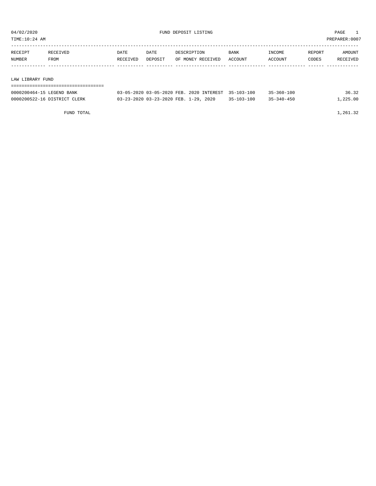| TIME:10:24 AM |                  |          |         |                   |         |                |        | PREPARER:0007 |
|---------------|------------------|----------|---------|-------------------|---------|----------------|--------|---------------|
|               |                  |          |         |                   |         |                |        |               |
| RECEIPT       | RECEIVED         | DATE     | DATE    | DESCRIPTION       | BANK    | INCOME         | REPORT | AMOUNT        |
| NUMBER        | FROM             | RECEIVED | DEPOSIT | OF MONEY RECEIVED | ACCOUNT | <b>ACCOUNT</b> | CODES  | RECEIVED      |
|               |                  |          |         |                   |         |                |        |               |
|               |                  |          |         |                   |         |                |        |               |
|               | LAW LIBRARY FUND |          |         |                   |         |                |        |               |
|               |                  |          |         |                   |         |                |        |               |

| 0000200464-15 LEGEND BANK    | 03-05-2020 03-05-2020 FEB. 2020 INTEREST 35-103-100 |                  | $35 - 360 - 100$ | 36.32    |
|------------------------------|-----------------------------------------------------|------------------|------------------|----------|
| 0000200522-16 DISTRICT CLERK | 03-23-2020 03-23-2020 FEB. 1-29, 2020               | $35 - 103 - 100$ | $35 - 340 - 450$ | L.225.00 |

FUND TOTAL  $1,261.32$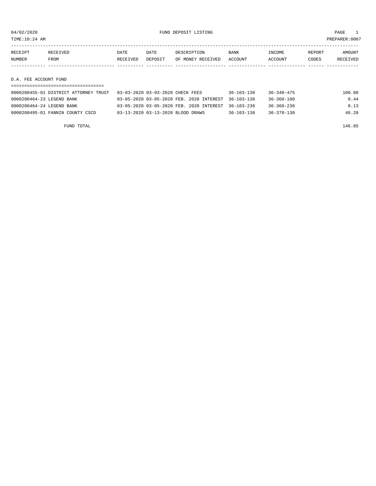TIME:10:24 AM PREPARER:0007

| RECEIPT               | RECEIVED    | DATE     | DATE    | DESCRIPTION       | BANK    | INCOME  | REPORT | AMOUNT   |
|-----------------------|-------------|----------|---------|-------------------|---------|---------|--------|----------|
| NUMBER                | <b>FROM</b> | RECEIVED | DEPOSIT | OF MONEY RECEIVED | ACCOUNT | ACCOUNT | CODES  | RECEIVED |
|                       |             |          |         |                   |         |         |        |          |
|                       |             |          |         |                   |         |         |        |          |
| D.A. FEE ACCOUNT FUND |             |          |         |                   |         |         |        |          |

| 0000200455-01 DISTRICT ATTORNEY TRUST | 03-03-2020 03-03-2020 CHECK FEES                    | $36 - 103 - 136$ | 36-340-475       | 100.00 |
|---------------------------------------|-----------------------------------------------------|------------------|------------------|--------|
| 0000200464-23 LEGEND BANK             | 03-05-2020 03-05-2020 FEB. 2020 INTEREST 36-103-136 |                  | 36-360-100       | 0.44   |
| 0000200464-24 LEGEND BANK             | 03-05-2020 03-05-2020 FEB. 2020 INTEREST 36-103-236 |                  | $36 - 360 - 236$ | 0.13   |
| 0000200495-01 FANNIN COUNTY CSCD      | 03-13-2020 03-13-2020 BLOOD DRAWS                   | $36 - 103 - 136$ | $36 - 370 - 130$ | 46.28  |

FUND TOTAL 146.85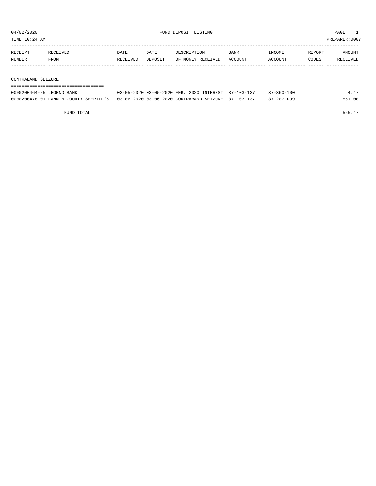TIME:10:24 AM PREPARER:0007

| RECEIPT | RECEIVED | DATE     | DATE    | DESCRIPTION       | <b>BANK</b> | INCOME  | REPORT | AMOUNT   |
|---------|----------|----------|---------|-------------------|-------------|---------|--------|----------|
| NUMBER  | FROM     | RECEIVED | DEPOSIT | OF MONEY RECEIVED | ACCOUNT     | ACCOUNT | CODES  | RECEIVED |
|         |          |          |         |                   |             |         |        |          |
|         |          |          |         |                   |             |         |        |          |

CONTRABAND SEIZURE

| =========================== |                                                                                           |                  |        |
|-----------------------------|-------------------------------------------------------------------------------------------|------------------|--------|
| 0000200464-25 LEGEND BANK   | 03-05-2020 03-05-2020 FEB. 2020 INTEREST 37-103-137                                       | $37 - 360 - 100$ | 4.47   |
|                             | 0000200478-01 FANNIN COUNTY SHERIFF'S 03-06-2020 03-06-2020 CONTRABAND SEIZURE 37-103-137 | 37-207-099       | 551.00 |

FUND TOTAL 555.47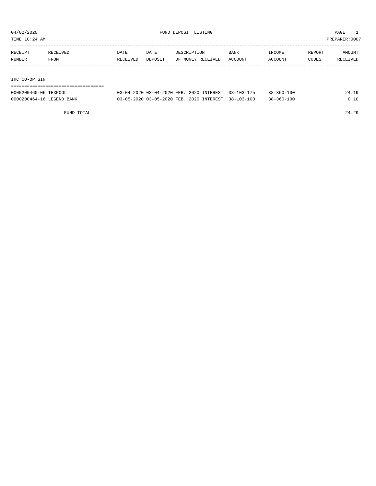| TIME:10:24 AM |          |          |         |                   |         |         |        | PREPARER:0007 |
|---------------|----------|----------|---------|-------------------|---------|---------|--------|---------------|
|               |          |          |         |                   |         |         |        |               |
| RECEIPT       | RECEIVED | DATE     | DATE    | DESCRIPTION       | BANK    | INCOME  | REPORT | AMOUNT        |
| NUMBER        | FROM     | RECEIVED | DEPOSIT | OF MONEY RECEIVED | ACCOUNT | ACCOUNT | CODES  | RECEIVED      |
|               |          |          |         |                   |         |         |        |               |
|               |          |          |         |                   |         |         |        |               |
| IHC CO-OP GIN |          |          |         |                   |         |         |        |               |

| ---------------------     |                                                     |  |                  |       |
|---------------------------|-----------------------------------------------------|--|------------------|-------|
| 0000200460-06 TEXPOOL     | 03-04-2020 03-04-2020 FEB. 2020 INTEREST 38-103-175 |  | $38 - 360 - 100$ | 24.19 |
| 0000200464-16 LEGEND BANK | 03-05-2020 03-05-2020 FEB. 2020 INTEREST 38-103-100 |  | $38 - 360 - 100$ | 0.10  |

FUND TOTAL 24.29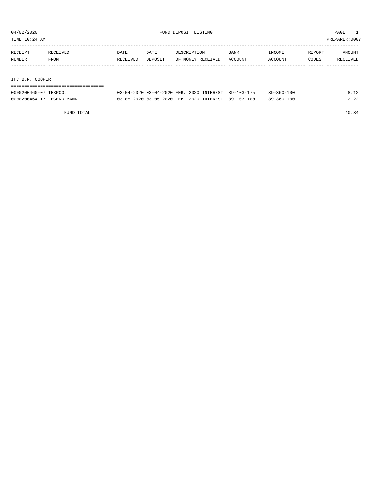TIME:10:24 AM PREPARER:0007

| RECEIPT | RECEIVED        | DATE     | DATE    | DESCRIPTION       | BANK    | INCOME  | REPORT | AMOUNT   |  |  |
|---------|-----------------|----------|---------|-------------------|---------|---------|--------|----------|--|--|
| NUMBER  | FROM            | RECEIVED | DEPOSIT | OF MONEY RECEIVED | ACCOUNT | ACCOUNT | CODES  | RECEIVED |  |  |
|         |                 |          |         |                   |         |         |        |          |  |  |
|         |                 |          |         |                   |         |         |        |          |  |  |
|         | IHC B.R. COOPER |          |         |                   |         |         |        |          |  |  |

|  | -------------------------------------<br>-------------------------------------- |  |  |
|--|---------------------------------------------------------------------------------|--|--|
|  |                                                                                 |  |  |

| 0000200460-07 TEXPOOL     | 03-04-2020 03-04-2020 FEB. 2020 INTEREST 39-103-175 |  | $39 - 360 - 100$ | 8.12 |
|---------------------------|-----------------------------------------------------|--|------------------|------|
| 0000200464-17 LEGEND BANK | 03-05-2020 03-05-2020 FEB. 2020 INTEREST 39-103-100 |  | $39 - 360 - 100$ | 2.22 |

FUND TOTAL 10.34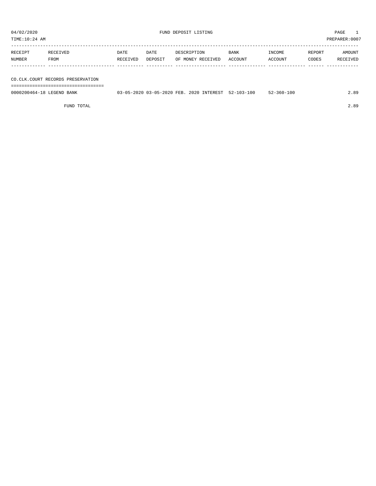TIME:10:24 AM PREPARER:0007

| RECEIPT | RECEIVED    | DATE     | DATE    | DESCRIPTION       | <b>BANK</b> | INCOME  | REPORT | AMOUNT   |
|---------|-------------|----------|---------|-------------------|-------------|---------|--------|----------|
| NUMBER  | <b>FROM</b> | RECEIVED | DEPOSIT | OF MONEY RECEIVED | ACCOUNT     | ACCOUNT | CODES  | RECEIVED |
|         |             |          |         |                   |             |         |        |          |
|         |             |          |         |                   |             |         |        |          |

CO.CLK.COURT RECORDS PRESERVATION

===================================

| 0000200464-18 LEGEND BANK | 03-05-2020 03-05-2020 FEB. 2020 INTEREST 52-103-100 |  | $52 - 360 - 100$ | 2.89 |
|---------------------------|-----------------------------------------------------|--|------------------|------|
|                           |                                                     |  |                  |      |

FUND TOTAL 2.89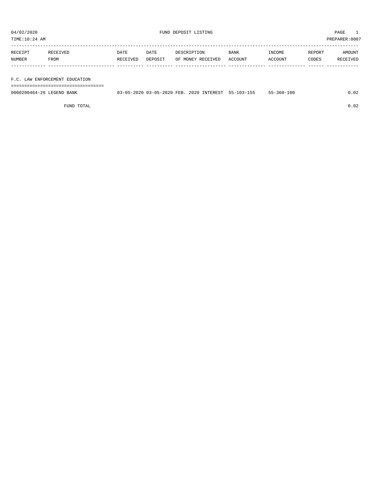| TIME:10:24 AM |          |          |         |                   |         |         |        | PREPARER:0007 |
|---------------|----------|----------|---------|-------------------|---------|---------|--------|---------------|
| RECEIPT       | RECEIVED | DATE     | DATE    | DESCRIPTION       | BANK    | INCOME  | REPORT | AMOUNT        |
| NUMBER        | FROM     | RECEIVED | DEPOSIT | OF MONEY RECEIVED | ACCOUNT | ACCOUNT | CODES  | RECEIVED      |
|               |          |          |         |                   |         |         |        |               |
|               |          |          |         |                   |         |         |        |               |

F.C. LAW ENFORCEMENT EDUCATION

===================================

| 0000200464-26 LEGEND BANK | 03-05-2020 03-05-2020 FEB. 2020 INTEREST 55-103-155 |  | $55 - 360 - 100$ | .02 |
|---------------------------|-----------------------------------------------------|--|------------------|-----|
|                           |                                                     |  |                  |     |

FUND TOTAL 0.02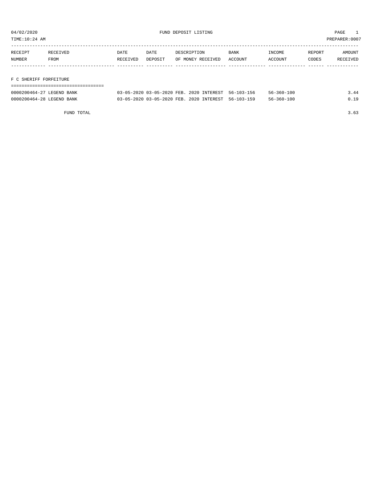TIME:10:24 AM PREPARER:0007

| RECEIPT | RECEIVED | DATE     | DATE    | DESCRIPTION       | <b>BANK</b> | INCOME  | REPORT | AMOUNT   |
|---------|----------|----------|---------|-------------------|-------------|---------|--------|----------|
| NUMBER  | FROM     | RECEIVED | DEPOSIT | OF MONEY RECEIVED | ACCOUNT     | ACCOUNT | CODES  | RECEIVED |
|         |          |          |         |                   |             |         |        |          |
|         |          |          |         |                   |             |         |        |          |

F C SHERIFF FORFEITURE

| ------------------------  |                                                     |  |                  |      |
|---------------------------|-----------------------------------------------------|--|------------------|------|
| 0000200464-27 LEGEND BANK | 03-05-2020 03-05-2020 FEB. 2020 INTEREST 56-103-156 |  | $56 - 360 - 100$ | 3.44 |
| 0000200464-28 LEGEND BANK | 03-05-2020 03-05-2020 FEB. 2020 INTEREST 56-103-159 |  | $56 - 360 - 100$ | 0.19 |

FUND TOTAL 3.63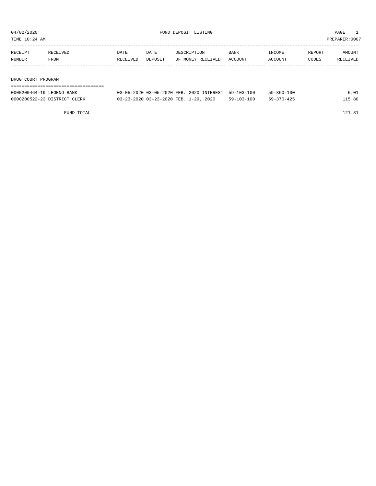TIME:10:24 AM PREPARER:0007

| RECEIPT            | RECEIVED | DATE     | DATE    | DESCRIPTION       | <b>BANK</b> | INCOME  | REPORT | AMOUNT   |  |  |
|--------------------|----------|----------|---------|-------------------|-------------|---------|--------|----------|--|--|
| NUMBER             | FROM     | RECEIVED | DEPOSIT | OF MONEY RECEIVED | ACCOUNT     | ACCOUNT | CODES  | RECEIVED |  |  |
|                    |          |          |         |                   |             |         |        |          |  |  |
|                    |          |          |         |                   |             |         |        |          |  |  |
| DRUG COURT PROGRAM |          |          |         |                   |             |         |        |          |  |  |
|                    |          |          |         |                   |             |         |        |          |  |  |

| 0000200464-19 LEGEND BANK    | 03-05-2020 03-05-2020 FEB. 2020 INTEREST 59-103-100 |            | 59-360-100 | 6.01   |
|------------------------------|-----------------------------------------------------|------------|------------|--------|
| 0000200522-23 DISTRICT CLERK | 03-23-2020 03-23-2020 FEB. 1-29, 2020               | 59-103-100 | 59-370-425 | 115.80 |

FUND TOTAL 121.81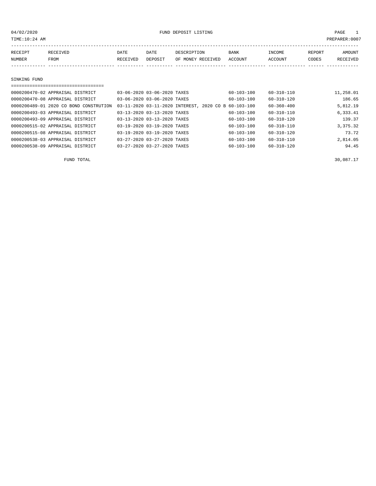TIME:10:24 AM PREPARER:0007

| RECEIPT       | <b>RECEIVED</b> | DATE     | DATE    | DESCRIPTION               | <b>BANK</b> | INCOME  | REPORT | AMOUNT   |
|---------------|-----------------|----------|---------|---------------------------|-------------|---------|--------|----------|
| <b>NUMBER</b> | FROM            | RECEIVED | DEPOSIT | OF MONEY RECEIVED ACCOUNT |             | ACCOUNT | CODES  | RECEIVED |
|               |                 |          |         |                           |             |         |        |          |

#### SINKING FUND

| ---------------------------------      |                             |                                                      |                  |           |
|----------------------------------------|-----------------------------|------------------------------------------------------|------------------|-----------|
| 0000200470-02 APPRAISAL DISTRICT       | 03-06-2020 03-06-2020 TAXES | $60 - 103 - 100$                                     | $60 - 310 - 110$ | 11,258.01 |
| 0000200470-08 APPRAISAL DISTRICT       | 03-06-2020 03-06-2020 TAXES | $60 - 103 - 100$                                     | $60 - 310 - 120$ | 186.65    |
| 0000200489-01 2020 CO BOND CONSTRUTION |                             | 03-11-2020 03-11-2020 INTEREST, 2020 CO B 60-103-100 | $60 - 360 - 400$ | 5,812.19  |
| 0000200493-03 APPRAISAL DISTRICT       | 03-13-2020 03-13-2020 TAXES | $60 - 103 - 100$                                     | $60 - 310 - 110$ | 6,333.41  |
| 0000200493-09 APPRAISAL DISTRICT       | 03-13-2020 03-13-2020 TAXES | $60 - 103 - 100$                                     | $60 - 310 - 120$ | 139.37    |
| 0000200515-02 APPRAISAL DISTRICT       | 03-19-2020 03-19-2020 TAXES | 60-103-100                                           | 60-310-110       | 3,375.32  |
| 0000200515-08 APPRAISAL DISTRICT       | 03-19-2020 03-19-2020 TAXES | $60 - 103 - 100$                                     | $60 - 310 - 120$ | 73.72     |
| 0000200538-03 APPRAISAL DISTRICT       | 03-27-2020 03-27-2020 TAXES | $60 - 103 - 100$                                     | $60 - 310 - 110$ | 2,814.05  |
| 0000200538-09 APPRAISAL DISTRICT       | 03-27-2020 03-27-2020 TAXES | $60 - 103 - 100$                                     | $60 - 310 - 120$ | 94.45     |

FUND TOTAL  $30,087.17$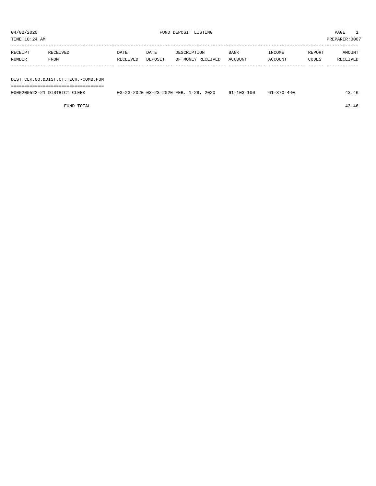| TIME:10:24 AM |                                     |          |         |                   |         |         |        | PREPARER:0007 |
|---------------|-------------------------------------|----------|---------|-------------------|---------|---------|--------|---------------|
|               |                                     |          |         |                   |         |         |        |               |
| RECEIPT       | RECEIVED                            | DATE     | DATE    | DESCRIPTION       | BANK    | INCOME  | REPORT | AMOUNT        |
| NUMBER        | <b>FROM</b>                         | RECEIVED | DEPOSIT | OF MONEY RECEIVED | ACCOUNT | ACCOUNT | CODES  | RECEIVED      |
|               |                                     |          |         |                   |         |         |        |               |
|               |                                     |          |         |                   |         |         |        |               |
|               | DIST.CLK.CO.&DIST.CT.TECH.-COMB.FUN |          |         |                   |         |         |        |               |
|               |                                     |          |         |                   |         |         |        |               |

| 0000200522-21<br>. הדפידס דרה.<br>.F.RK | 2020<br>つっこつ いつい<br><b>FEB</b><br>$-29$<br>$\sim$<br>, 25, 25, 26<br>$\cdots$ $\cdots$ | 100<br>$103 - x$ | -44 |  |
|-----------------------------------------|----------------------------------------------------------------------------------------|------------------|-----|--|
|                                         |                                                                                        |                  |     |  |

FUND TOTAL 43.46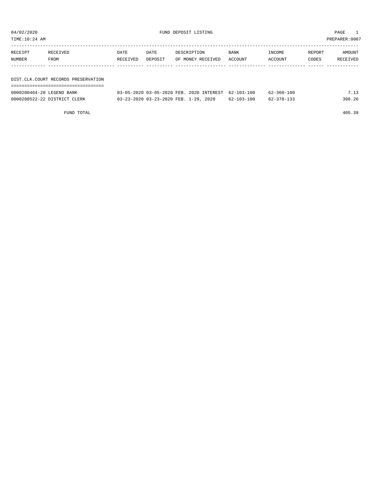| 04/02/2020<br>TIME:10:24 AM         |                  |                  |                 | FUND DEPOSIT LISTING             |                 |                   |                 | PAGE<br>PREPARER: 0007 |  |
|-------------------------------------|------------------|------------------|-----------------|----------------------------------|-----------------|-------------------|-----------------|------------------------|--|
| RECEIPT<br>NUMBER                   | RECEIVED<br>FROM | DATE<br>RECEIVED | DATE<br>DEPOSIT | DESCRIPTION<br>OF MONEY RECEIVED | BANK<br>ACCOUNT | INCOME<br>ACCOUNT | REPORT<br>CODES | AMOUNT<br>RECEIVED     |  |
| DIST.CLK.COURT RECORDS PRESERVATION |                  |                  |                 |                                  |                 |                   |                 |                        |  |

| 0000200464-20 LEGEND BANK    | 03-05-2020 03-05-2020 FEB. 2020 INTEREST 62-103-100 |                  | $62 - 360 - 100$ | 7.13   |
|------------------------------|-----------------------------------------------------|------------------|------------------|--------|
| 0000200522-22 DISTRICT CLERK | 03-23-2020 03-23-2020 FEB. 1-29, 2020               | $62 - 103 - 100$ | 62-370-133       | 398.26 |

FUND TOTAL 405.39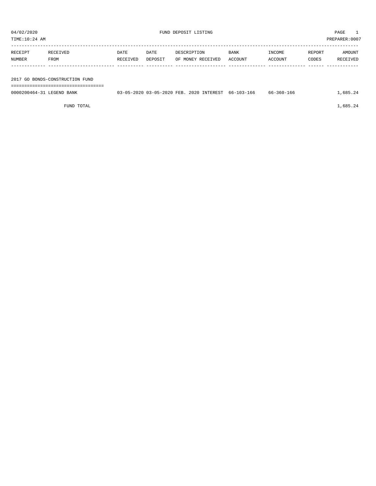| TIME:10:24 AM |          |          |         |                   |         |         |        | PREPARER:0007 |
|---------------|----------|----------|---------|-------------------|---------|---------|--------|---------------|
| RECEIPT       | RECEIVED | DATE     | DATE    | DESCRIPTION       | BANK    | INCOME  | REPORT | AMOUNT        |
| NUMBER        | FROM     | RECEIVED | DEPOSIT | OF MONEY RECEIVED | ACCOUNT | ACCOUNT | CODES  | RECEIVED      |
|               |          |          |         |                   |         |         |        |               |

2017 GO BONDS-CONSTRUCTION FUND

===================================

| 0000200464-31<br>LEGEND,<br>BANK | 13-05-2020 03-05-2020 FEB. | 2020 INTEREST 66-103-166 | 66-360-166 | .685 |
|----------------------------------|----------------------------|--------------------------|------------|------|
|                                  |                            |                          |            |      |

FUND TOTAL  $1,685.24$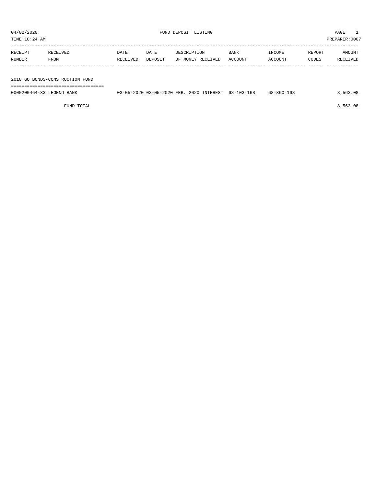| TIME:10:24 AM |                                 |          |         |                   |             |         |        | PREPARER:0007 |
|---------------|---------------------------------|----------|---------|-------------------|-------------|---------|--------|---------------|
| RECEIPT       | RECEIVED                        | DATE     | DATE    | DESCRIPTION       | <b>BANK</b> | INCOME  | REPORT | AMOUNT        |
| NUMBER        | FROM                            | RECEIVED | DEPOSIT | OF MONEY RECEIVED | ACCOUNT     | ACCOUNT | CODES  | RECEIVED      |
|               |                                 |          |         |                   |             |         |        |               |
|               |                                 |          |         |                   |             |         |        |               |
|               | 2018 GO BONDS-CONSTRUCTION FUND |          |         |                   |             |         |        |               |

===================================

| 0000200464-33 LEGEND BANK |  | 03-05-2020 03-05-2020 FEB. 2020 INTEREST 68-103-168 | 68-360-168 | 8,563.08 |
|---------------------------|--|-----------------------------------------------------|------------|----------|
|                           |  |                                                     |            |          |

FUND TOTAL 8,563.08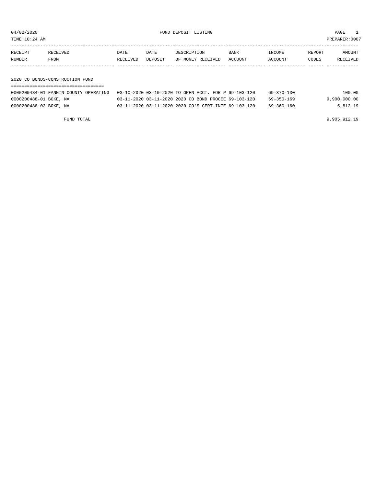TIME:10:24 AM PREPARER:0007

| REPORT<br>DATE<br>BANK<br>INCOME<br>RECEIPT<br>DATE<br>DESCRIPTION<br>RECEIVED<br>NUMBER<br>CODES<br>ACCOUNT<br>FROM<br>OF MONEY RECEIVED<br>ACCOUNT<br>RECEIVED<br>DEPOSIT |  |  |  |               |
|-----------------------------------------------------------------------------------------------------------------------------------------------------------------------------|--|--|--|---------------|
|                                                                                                                                                                             |  |  |  | <b>AMOUNT</b> |
|                                                                                                                                                                             |  |  |  | RECEIVED      |
|                                                                                                                                                                             |  |  |  |               |
| 2020 CO BONDS-CONSTRUCTION FUND                                                                                                                                             |  |  |  |               |

===================================

|                        | 0000200484-01 FANNIN COUNTY OPERATING 03-10-2020 03-10-2020 TO OPEN ACCT. FOR P 69-103-120 |                                                      |  | 69-370-130 | 100.00       |
|------------------------|--------------------------------------------------------------------------------------------|------------------------------------------------------|--|------------|--------------|
| 0000200488-01 BOKE, NA |                                                                                            | 03-11-2020 03-11-2020 2020 CO BOND PROCEE 69-103-120 |  | 69-350-169 | 9,900,000.00 |
| 0000200488-02 BOKE, NA |                                                                                            | 03-11-2020 03-11-2020 2020 CO'S CERT.INTE 69-103-120 |  | 69-360-160 | 5,812.19     |

FUND TOTAL 9,905,912.19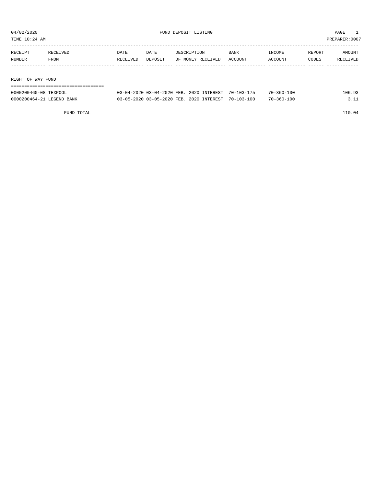| TIME:10:24 AM     |                   |                  |                 |                                  |                        |                   |                 | PREPARER:0007      |  |
|-------------------|-------------------|------------------|-----------------|----------------------------------|------------------------|-------------------|-----------------|--------------------|--|
| RECEIPT<br>NUMBER | RECEIVED<br>FROM  | DATE<br>RECEIVED | DATE<br>DEPOSIT | DESCRIPTION<br>OF MONEY RECEIVED | <b>BANK</b><br>ACCOUNT | INCOME<br>ACCOUNT | REPORT<br>CODES | AMOUNT<br>RECEIVED |  |
|                   |                   |                  |                 |                                  |                        |                   |                 |                    |  |
|                   | RIGHT OF WAY FUND |                  |                 |                                  |                        |                   |                 |                    |  |
|                   |                   |                  |                 |                                  |                        |                   |                 |                    |  |

| 0000200460-08 TEXPOOL     | 03-04-2020 03-04-2020 FEB. 2020 INTEREST | $70 - 103 - 175$ | $70 - 360 - 100$ | 106.93 |
|---------------------------|------------------------------------------|------------------|------------------|--------|
| 0000200464-21 LEGEND BANK | 03-05-2020 03-05-2020 FEB. 2020 INTEREST | 70-103-100       | $70 - 360 - 100$ |        |

FUND TOTAL 110.04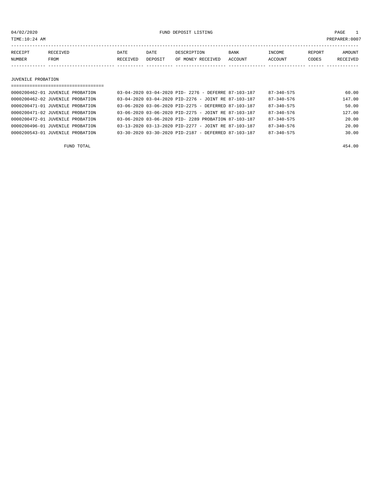04/02/2020 FUND DEPOSIT LISTING PAGE 1

| RECEIPT | RECEIVED | DATE     | DATE           | DESCRIPTION             | <b>BANK</b>    | INCOME  | REPORT | <b>MOUNT</b> |
|---------|----------|----------|----------------|-------------------------|----------------|---------|--------|--------------|
| NUMBER  | FROM     | RECEIVED | <b>DEPOSTT</b> | RECEIVED<br>MONEY<br>ΩF | <b>ACCOUNT</b> | `^COUNT | CODES  | RECEIVED     |
|         |          |          |                |                         |                |         |        |              |

#### JUVENILE PROBATION

| ==================================== |                                                                        |                            |
|--------------------------------------|------------------------------------------------------------------------|----------------------------|
| 0000200462-01 JUVENILE PROBATION     | 03-04-2020 03-04-2020 PID- 2276 - DEFERRE 87-103-187                   | 60.00<br>$87 - 340 - 575$  |
| 0000200462-02 JUVENILE PROBATION     | $0.3 - 0.4 - 20.20$ $0.3 - 0.4 - 20.20$ PID-2276 - JOINT RE 87-103-187 | 147.00<br>$87 - 340 - 576$ |
| 0000200471-01 JUVENILE PROBATION     | $0.3 - 0.6 - 20.20$ $0.3 - 0.6 - 20.20$ PID-2275 - DEFERRED 87-103-187 | $87 - 340 - 575$<br>50.00  |
| 0000200471-02 JUVENILE PROBATION     | $0.3 - 0.6 - 20.20$ $0.3 - 0.6 - 20.20$ PID-2275 - JOINT RE 87-103-187 | 127.00<br>$87 - 340 - 576$ |
| 0000200472-01 JUVENILE PROBATION     | 03-06-2020 03-06-2020 PID- 2289 PROBATION 87-103-187                   | 20.00<br>$87 - 340 - 575$  |
| 0000200496-01 JUVENILE PROBATION     | $0.3 - 1.3 - 20.20$ $0.3 - 1.3 - 20.20$ PID-2277 - JOINT RE 87-103-187 | 20.00<br>$87 - 340 - 576$  |
| 0000200543-01 JUVENILE PROBATION     | 03-30-2020 03-30-2020 PID-2187 - DEFERRED 87-103-187                   | $87 - 340 - 575$<br>30.00  |
|                                      |                                                                        |                            |

FUND TOTAL 454.00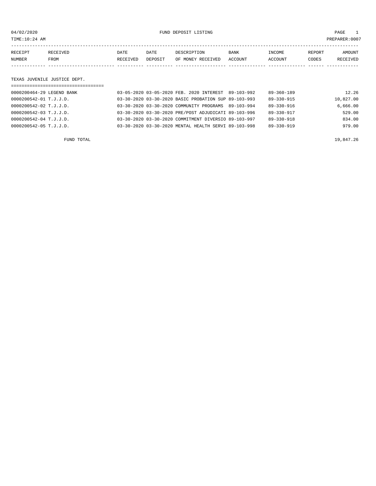04/02/2020 FUND DEPOSIT LISTING PAGE 1

| RECEIPT | <b>RECEIVED</b> | DATE     | DATE    | DESCRIPTION       | <b>BANK</b> | INCOME         | REPORT | AMOUNT   |
|---------|-----------------|----------|---------|-------------------|-------------|----------------|--------|----------|
| NUMBER  | <b>FROM</b>     | RECEIVED | DEPOSIT | OF MONEY RECEIVED | ACCOUNT     | <b>ACCOUNT</b> | CODES  | RECEIVED |
|         |                 |          |         |                   |             |                |        |          |

#### TEXAS JUVENILE JUSTICE DEPT.

| , __________________________________ |  |                                                      |                  |           |
|--------------------------------------|--|------------------------------------------------------|------------------|-----------|
| 0000200464-29 LEGEND BANK            |  | 03-05-2020 03-05-2020 FEB. 2020 INTEREST 89-103-992  | $89 - 360 - 189$ | 12.26     |
| 0000200542-01 T.J.J.D.               |  | 03-30-2020 03-30-2020 BASIC PROBATION SUP 89-103-993 | 89-330-915       | 10,827.00 |
| 0000200542-02 T.J.J.D.               |  | 03-30-2020 03-30-2020 COMMUNITY PROGRAMS 89-103-994  | $89 - 330 - 916$ | 6.666.00  |
| 0000200542-03 T.J.J.D.               |  | 03-30-2020 03-30-2020 PRE/POST ADJUDICATI 89-103-996 | 89-330-917       | 529.00    |
| 0000200542-04 T.J.J.D.               |  | 03-30-2020 03-30-2020 COMMITMENT DIVERSIO 89-103-997 | 89-330-918       | 834.00    |
| 0000200542-05 T.J.J.D.               |  | 03-30-2020 03-30-2020 MENTAL HEALTH SERVI 89-103-998 | $89 - 330 - 919$ | 979.00    |
|                                      |  |                                                      |                  |           |

FUND TOTAL 19,847.26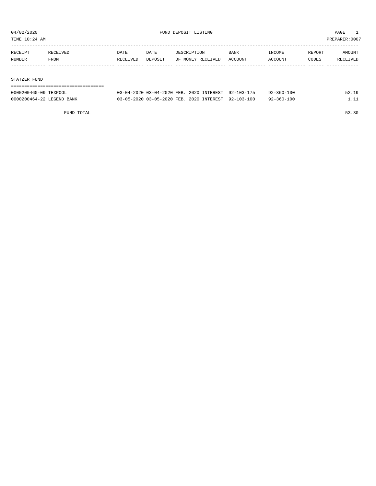TIME:10:24 AM PREPARER:0007

| RECEIPT | RECEIVED | DATE     | DATE    | DESCRIPTION       | <b>BANK</b> | INCOME  | REPORT | AMOUNT   |
|---------|----------|----------|---------|-------------------|-------------|---------|--------|----------|
| NUMBER  | FROM     | RECEIVED | DEPOSIT | OF MONEY RECEIVED | ACCOUNT     | ACCOUNT | CODES  | RECEIVED |
|         |          |          |         |                   |             |         |        |          |
|         |          |          |         |                   |             |         |        |          |

#### STATZER FUND

| ------------------------------------ |                                                     |  |            |       |
|--------------------------------------|-----------------------------------------------------|--|------------|-------|
| 0000200460-09 TEXPOOL                | 03-04-2020 03-04-2020 FEB. 2020 INTEREST 92-103-175 |  | 92-360-100 | 52.19 |
| 0000200464-22 LEGEND BANK            | 03-05-2020 03-05-2020 FEB. 2020 INTEREST 92-103-100 |  | 92-360-100 | 1 1 1 |

FUND TOTAL 53.30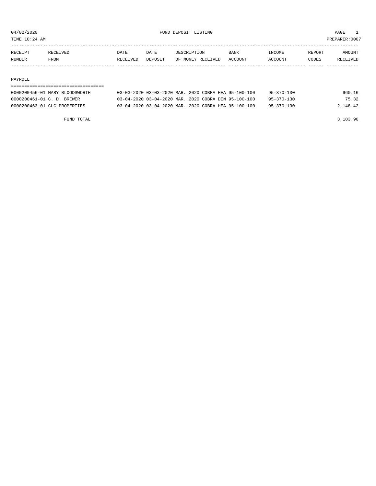TIME:10:24 AM PREPARER:0007

| RECEIPT       | RECEIVED. | DATE     | DATE    | DESCRIPTION       | BANK    | <b>NCOME</b> | REPORT | AMOUNT          |
|---------------|-----------|----------|---------|-------------------|---------|--------------|--------|-----------------|
| <b>NUMBER</b> | FROM      | RECEIVED | DEPOSIT | OF MONEY RECEIVED | ACCOUNT | ACCOUNT      | CODES  | <b>RECEIVED</b> |
|               |           |          |         |                   |         |              |        |                 |

#### PAYROLL

| 0000200456-01 MARY BLOODSWORTH | 03-03-2020 03-03-2020 MAR. 2020 COBRA HEA 95-100-100 |  | 95-370-130       | 960.16   |
|--------------------------------|------------------------------------------------------|--|------------------|----------|
| 0000200461-01 C. D. BREWER     | 03-04-2020 03-04-2020 MAR. 2020 COBRA DEN 95-100-100 |  | $95 - 370 - 130$ | 75.32    |
| 0000200463-01 CLC PROPERTIES   | 03-04-2020 03-04-2020 MAR. 2020 COBRA HEA 95-100-100 |  | $95 - 370 - 130$ | 2,148.42 |
|                                |                                                      |  |                  |          |

FUND TOTAL 3,183.90